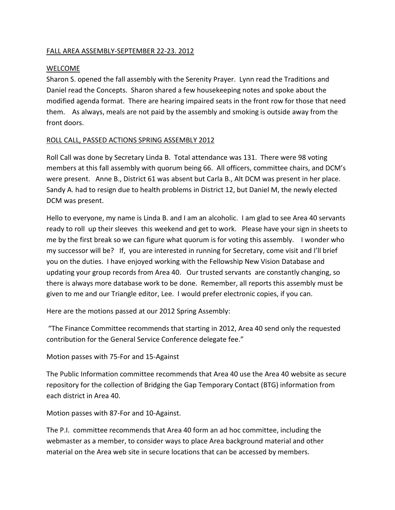#### FALL AREA ASSEMBLY-SEPTEMBER 22-23. 2012

#### WELCOME

Sharon S. opened the fall assembly with the Serenity Prayer. Lynn read the Traditions and Daniel read the Concepts. Sharon shared a few housekeeping notes and spoke about the modified agenda format. There are hearing impaired seats in the front row for those that need them. As always, meals are not paid by the assembly and smoking is outside away from the front doors.

#### ROLL CALL, PASSED ACTIONS SPRING ASSEMBLY 2012

Roll Call was done by Secretary Linda B. Total attendance was 131. There were 98 voting members at this fall assembly with quorum being 66. All officers, committee chairs, and DCM's were present. Anne B., District 61 was absent but Carla B., Alt DCM was present in her place. Sandy A. had to resign due to health problems in District 12, but Daniel M, the newly elected DCM was present.

Hello to everyone, my name is Linda B. and I am an alcoholic. I am glad to see Area 40 servants ready to roll up their sleeves this weekend and get to work. Please have your sign in sheets to me by the first break so we can figure what quorum is for voting this assembly. I wonder who my successor will be? If, you are interested in running for Secretary, come visit and I'll brief you on the duties. I have enjoyed working with the Fellowship New Vision Database and updating your group records from Area 40. Our trusted servants are constantly changing, so there is always more database work to be done. Remember, all reports this assembly must be given to me and our Triangle editor, Lee. I would prefer electronic copies, if you can.

Here are the motions passed at our 2012 Spring Assembly:

"The Finance Committee recommends that starting in 2012, Area 40 send only the requested contribution for the General Service Conference delegate fee."

#### Motion passes with 75-For and 15-Against

The Public Information committee recommends that Area 40 use the Area 40 website as secure repository for the collection of Bridging the Gap Temporary Contact (BTG) information from each district in Area 40.

Motion passes with 87-For and 10-Against.

The P.I. committee recommends that Area 40 form an ad hoc committee, including the webmaster as a member, to consider ways to place Area background material and other material on the Area web site in secure locations that can be accessed by members.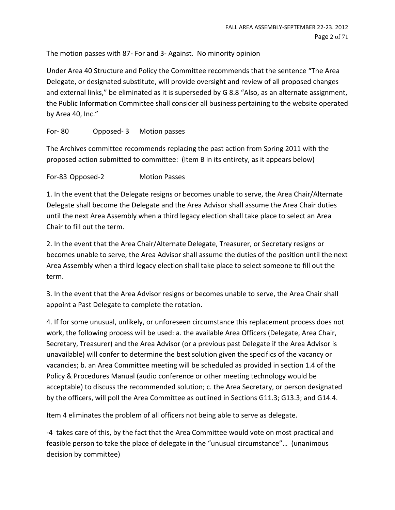The motion passes with 87- For and 3- Against. No minority opinion

Under Area 40 Structure and Policy the Committee recommends that the sentence "The Area Delegate, or designated substitute, will provide oversight and review of all proposed changes and external links," be eliminated as it is superseded by G 8.8 "Also, as an alternate assignment, the Public Information Committee shall consider all business pertaining to the website operated by Area 40, Inc."

# For- 80 Opposed- 3 Motion passes

The Archives committee recommends replacing the past action from Spring 2011 with the proposed action submitted to committee: (Item B in its entirety, as it appears below)

For-83 Opposed-2 Motion Passes

1. In the event that the Delegate resigns or becomes unable to serve, the Area Chair/Alternate Delegate shall become the Delegate and the Area Advisor shall assume the Area Chair duties until the next Area Assembly when a third legacy election shall take place to select an Area Chair to fill out the term.

2. In the event that the Area Chair/Alternate Delegate, Treasurer, or Secretary resigns or becomes unable to serve, the Area Advisor shall assume the duties of the position until the next Area Assembly when a third legacy election shall take place to select someone to fill out the term.

3. In the event that the Area Advisor resigns or becomes unable to serve, the Area Chair shall appoint a Past Delegate to complete the rotation.

4. If for some unusual, unlikely, or unforeseen circumstance this replacement process does not work, the following process will be used: a. the available Area Officers (Delegate, Area Chair, Secretary, Treasurer) and the Area Advisor (or a previous past Delegate if the Area Advisor is unavailable) will confer to determine the best solution given the specifics of the vacancy or vacancies; b. an Area Committee meeting will be scheduled as provided in section 1.4 of the Policy & Procedures Manual (audio conference or other meeting technology would be acceptable) to discuss the recommended solution; c. the Area Secretary, or person designated by the officers, will poll the Area Committee as outlined in Sections G11.3; G13.3; and G14.4.

Item 4 eliminates the problem of all officers not being able to serve as delegate.

-4 takes care of this, by the fact that the Area Committee would vote on most practical and feasible person to take the place of delegate in the "unusual circumstance"… (unanimous decision by committee)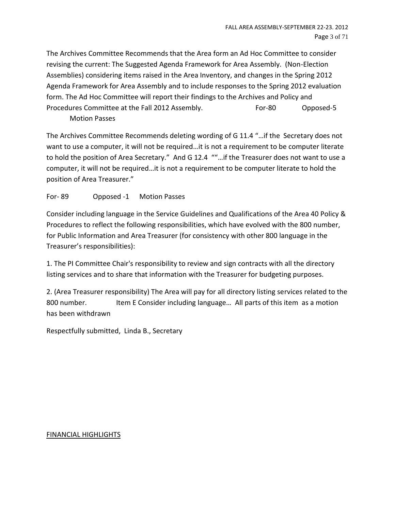The Archives Committee Recommends that the Area form an Ad Hoc Committee to consider revising the current: The Suggested Agenda Framework for Area Assembly. (Non-Election Assemblies) considering items raised in the Area Inventory, and changes in the Spring 2012 Agenda Framework for Area Assembly and to include responses to the Spring 2012 evaluation form. The Ad Hoc Committee will report their findings to the Archives and Policy and Procedures Committee at the Fall 2012 Assembly. For-80 Opposed-5

Motion Passes

The Archives Committee Recommends deleting wording of G 11.4 "…if the Secretary does not want to use a computer, it will not be required…it is not a requirement to be computer literate to hold the position of Area Secretary." And G 12.4 ""…if the Treasurer does not want to use a computer, it will not be required…it is not a requirement to be computer literate to hold the position of Area Treasurer."

# For- 89 Opposed -1 Motion Passes

Consider including language in the Service Guidelines and Qualifications of the Area 40 Policy & Procedures to reflect the following responsibilities, which have evolved with the 800 number, for Public Information and Area Treasurer (for consistency with other 800 language in the Treasurer's responsibilities):

1. The PI Committee Chair's responsibility to review and sign contracts with all the directory listing services and to share that information with the Treasurer for budgeting purposes.

2. (Area Treasurer responsibility) The Area will pay for all directory listing services related to the 800 number. Item E Consider including language... All parts of this item as a motion has been withdrawn

Respectfully submitted, Linda B., Secretary

#### FINANCIAL HIGHLIGHTS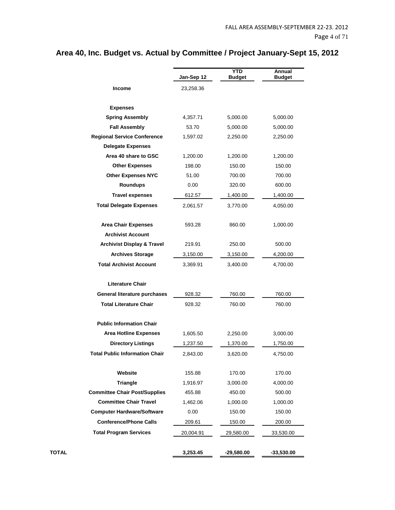# **Jan-Sep 12 YTD Budget Annual Budget Income** 23,258.36 **Expenses Spring Assembly** 4,357.71 5,000.00 5,000.00 **Fall Assembly** 53.70 5,000.00 5,000.00 **Regional Service Conference** 1,597.02 2,250.00 2,250.00 **Delegate Expenses Area 40 share to GSC** 1,200.00 1,200.00 1,200.00 **Other Expenses** 198.00 150.00 150.00 **Other Expenses NYC** 51.00 700.00 700.00 **Roundups** 0.00 320.00 600.00 **Travel expenses** 612.57 1,400.00 1,400.00 **Total Delegate Expenses** 2,061.57 3,770.00 4,050.00 **Area Chair Expenses** 593.28 860.00 1,000.00 **Archivist Account Archivist Display & Travel** 219.91 250.00 500.00 **Archives Storage** 3,150.00 3,150.00 4,200.00 **Total Archivist Account** 3,369.91 3,400.00 4,700.00 **Literature Chair General literature purchases** 928.32 760.00 760.00 **Total Literature Chair** 928.32 760.00 760.00 **Public Information Chair Area Hotline Expenses** 1,605.50 2,250.00 3,000.00 **Directory Listings** 1,237.50 1,370.00 1,750.00 **Total Public Information Chair** 2,843.00 3,620.00 4,750.00 **Website** 155.88 170.00 170.00 **Triangle** 1,916.97 3,000.00 4,000.00 **Committee Chair Post/Supplies** 455.88 450.00 500.00 **Committee Chair Travel 1,462.06 1,000.00 1,000.00 Computer Hardware/Software** 0.00 150.00 150.00 **Conference/Phone Calls** 209.61 150.00 200.00 **Total Program Services** 20,004.91 29,580.00 33,530.00 **TOTAL 3,253.45 -29,580.00 -33,530.00**

#### **Area 40, Inc. Budget vs. Actual by Committee / Project January-Sept 15, 2012**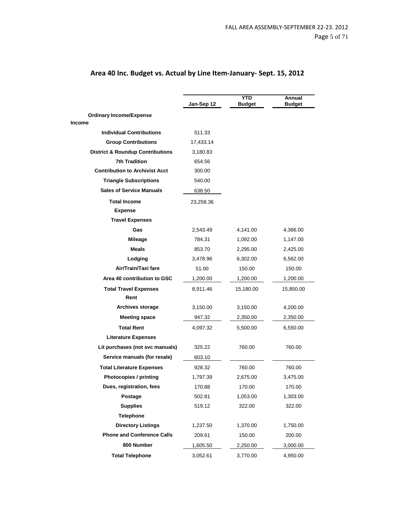|                                             | Jan-Sep 12 | <b>YTD</b><br><b>Budget</b> | Annual<br><b>Budget</b> |  |
|---------------------------------------------|------------|-----------------------------|-------------------------|--|
| <b>Ordinary Income/Expense</b>              |            |                             |                         |  |
| <b>Income</b>                               |            |                             |                         |  |
| <b>Individual Contributions</b>             | 511.33     |                             |                         |  |
| <b>Group Contributions</b>                  | 17,433.14  |                             |                         |  |
| <b>District &amp; Roundup Contributions</b> | 3,180.83   |                             |                         |  |
| <b>7th Tradition</b>                        | 654.56     |                             |                         |  |
| <b>Contribution to Archivist Acct</b>       | 300.00     |                             |                         |  |
| <b>Triangle Subscriptions</b>               | 540.00     |                             |                         |  |
| <b>Sales of Service Manuals</b>             | 638.50     |                             |                         |  |
| <b>Total Income</b>                         | 23,258.36  |                             |                         |  |
| <b>Expense</b>                              |            |                             |                         |  |
| <b>Travel Expenses</b>                      |            |                             |                         |  |
| Gas                                         | 2,543.49   | 4,141.00                    | 4,366.00                |  |
| Mileage                                     | 784.31     | 1,092.00                    | 1,147.00                |  |
| <b>Meals</b>                                | 853.70     | 2,295.00                    | 2,425.00                |  |
| Lodging                                     | 3,478.96   | 6,302.00                    | 6,562.00                |  |
| Air/Train/Taxi fare                         | 51.00      | 150.00                      | 150.00                  |  |
| Area 40 contribution to GSC                 | 1,200.00   | 1,200.00                    | 1,200.00                |  |
| <b>Total Travel Expenses</b>                | 8,911.46   | 15,180.00                   | 15,850.00               |  |
| Rent                                        |            |                             |                         |  |
| Archives storage                            | 3,150.00   | 3,150.00                    | 4,200.00                |  |
| <b>Meeting space</b>                        | 947.32     | 2,350.00                    | 2,350.00                |  |
| <b>Total Rent</b>                           | 4,097.32   | 5,500.00                    | 6,550.00                |  |
| <b>Literature Expenses</b>                  |            |                             |                         |  |
| Lit purchases (not svc manuals)             | 325.22     | 760.00                      | 760.00                  |  |
| Service manuals (for resale)                | 603.10     |                             |                         |  |
| <b>Total Literature Expenses</b>            | 928.32     | 760.00                      | 760.00                  |  |
| <b>Photocopies / printing</b>               | 1,797.39   | 2,675.00                    | 3,475.00                |  |
| Dues, registration, fees                    | 170.88     | 170.00                      | 170.00                  |  |
| Postage                                     | 502.81     | 1,053.00                    | 1,303.00                |  |
| <b>Supplies</b>                             | 519.12     | 322.00                      | 322.00                  |  |
| <b>Telephone</b>                            |            |                             |                         |  |
| <b>Directory Listings</b>                   | 1,237.50   | 1,370.00                    | 1,750.00                |  |
| <b>Phone and Conference Calls</b>           | 209.61     | 150.00                      | 200.00                  |  |
|                                             |            |                             |                         |  |
| 800 Number                                  | 1,605.50   | 2,250.00                    | 3,000.00                |  |

# **Area 40 Inc. Budget vs. Actual by Line Item-January- Sept. 15, 2012**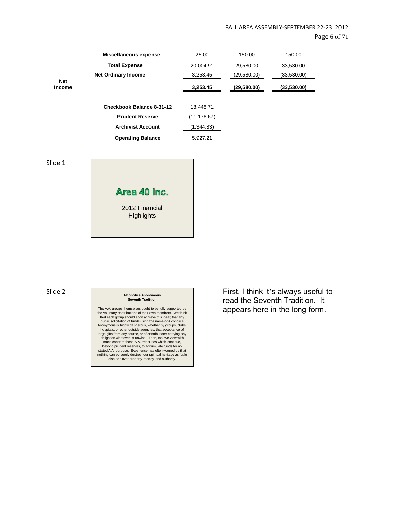Page 6 of 71

|                             | Miscellaneous expense            | 25.00        | 150.00      | 150.00      |
|-----------------------------|----------------------------------|--------------|-------------|-------------|
|                             | <b>Total Expense</b>             | 20,004.91    | 29,580.00   | 33,530.00   |
|                             | <b>Net Ordinary Income</b>       | 3,253.45     | (29,580.00) | (33,530.00) |
| <b>Net</b><br><b>Income</b> |                                  | 3,253.45     | (29,580.00) | (33,530.00) |
|                             |                                  |              |             |             |
|                             | <b>Checkbook Balance 8-31-12</b> | 18,448.71    |             |             |
|                             | <b>Prudent Reserve</b>           | (11, 176.67) |             |             |
|                             | <b>Archivist Account</b>         | (1,344.83)   |             |             |
|                             | <b>Operating Balance</b>         | 5,927.21     |             |             |

Slide 1



# Slide 2 **Alcoholics Anonymous Seventh Tradition**

The A.A. groups themselves ought to be fully supported by<br>the voluntary contributions of their own members. We think<br>that each group should soon achieve this ideal; that any<br>public solicitation of funds using the name of A large gifts from any source, or of contributions carrying any obligation whatever, is unwise. Then, too, we view with much concern those A.A. treasuries which continue, beyond prudent reserves, to accumulate funds for no stated A.A. purpose. Experience has often warned us that nothing can so surely destroy our spiritual heritage as futile disputes over property, money, and authority. First, I think it's always useful to read the Seventh Tradition. It appears here in the long form.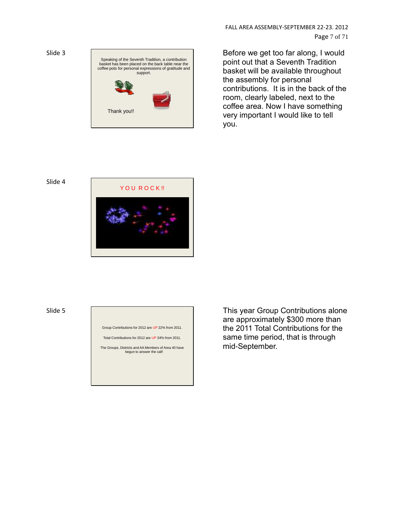

FALL AREA ASSEMBLY-SEPTEMBER 22-23. 2012 Page 7 of 71

Before we get too far along, I would point out that a Seventh Tradition basket will be available throughout the assembly for personal contributions. It is in the back of the room, clearly labeled, next to the coffee area. Now I have something very important I would like to tell you.



#### Slide 5

Group Contributions for 2012 are UP 22% from 2011.

Total Contributions for 2012 are UP 34% from 2011.

The Groups, Districts and AA Members of Area 40 have begun to answer the call!

This year Group Contributions alone are approximately \$300 more than the 2011 Total Contributions for the same time period, that is through mid-September.

Slide 3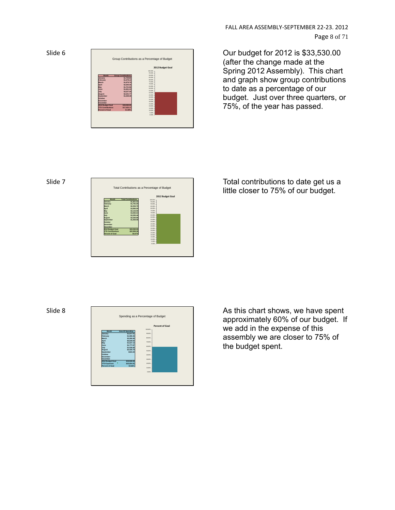Slide 6

|                          | Group Contributions as a Percentage of Budget |                          |  |  |  |
|--------------------------|-----------------------------------------------|--------------------------|--|--|--|
| 2012 Budget Goal         |                                               |                          |  |  |  |
|                          |                                               | 100,00%                  |  |  |  |
|                          |                                               | os ans.                  |  |  |  |
| Month                    | <b>Group Contributions</b>                    | so ons<br><b>BS ODN:</b> |  |  |  |
| January                  | \$1,708.80                                    | so ons.                  |  |  |  |
| February<br>March        | \$1,578.12                                    | <b>25,00%</b>            |  |  |  |
|                          | \$1,879.79                                    | 30.00%                   |  |  |  |
| April                    | \$2,305.46                                    | 65 DOS                   |  |  |  |
| May                      | \$1,721.96                                    | so ons.                  |  |  |  |
| June.<br>July            | \$1,661.33                                    | \$5,00%                  |  |  |  |
|                          | \$3,227.46                                    | so ons.                  |  |  |  |
| August<br>September      | \$2,341.77<br>\$1,008.48                      | 45.00%                   |  |  |  |
| October                  |                                               | 40 DOS                   |  |  |  |
| <b>November</b>          |                                               | 35,00%                   |  |  |  |
| December                 |                                               | 30,00%                   |  |  |  |
| 2012 Budget Goal         | \$33,530.00                                   | 25.00%                   |  |  |  |
| <b>YTD Contributions</b> | \$17,433.17                                   | 20,00%                   |  |  |  |
| <b>Percent of Goal</b>   | 51.99%                                        | 15,00%                   |  |  |  |
|                          |                                               | 10,00%<br>$5.00\%$       |  |  |  |
|                          |                                               | 0.00%                    |  |  |  |
|                          |                                               |                          |  |  |  |

FALL AREA ASSEMBLY-SEPTEMBER 22-23. 2012 Page 8 of 71

Our budget for 2012 is \$33,530.00 (after the change made at the Spring 2012 Assembly). This chart and graph show group contributions to date as a percentage of our budget. Just over three quarters, or 75%, of the year has passed.

#### Slide 7

|                          |                            |                   | 2012 Budget Goal |
|--------------------------|----------------------------|-------------------|------------------|
| <b>Month</b>             | <b>Total Contributions</b> | 100,00%           |                  |
| January                  | \$1,821.63                 | \$5,00%           |                  |
| February                 | \$1,791.00                 | 90,00%            |                  |
| March                    | \$2,354.79                 | <b>BS OOK</b>     |                  |
| April                    | \$3,890.09                 | so ons            |                  |
| May                      | \$2,123.90                 | 75.02%            |                  |
| <b>Uune</b>              | \$4,092.63                 | 20,00%            |                  |
| <b>Uutv</b>              | \$3,283,46                 | 65,00%            |                  |
| August                   | \$2,540.88                 | 60 DOS<br>SS DONG |                  |
| September                | \$1,059.98                 | SD DONG           |                  |
| October                  |                            | 45.00%            |                  |
| November                 |                            | AD DON:           |                  |
| December                 |                            | 35,00%            |                  |
| 2012 Budget Goal         | \$33,530.00                | 30,00%            |                  |
| <b>YTD Contributions</b> | \$22,958.36                | 25.02%            |                  |
| Percent of Goal          | 68.47%                     | 30,00%            |                  |
|                          |                            | 15,00%            |                  |
|                          |                            | 10.02%            |                  |
|                          |                            | 5.00%             |                  |
|                          |                            | 0.00%             |                  |

Total contributions to date get us a little closer to 75% of our budget.

#### Slide 8



As this chart shows, we have spent approximately 60% of our budget. If we add in the expense of this assembly we are closer to 75% of the budget spent.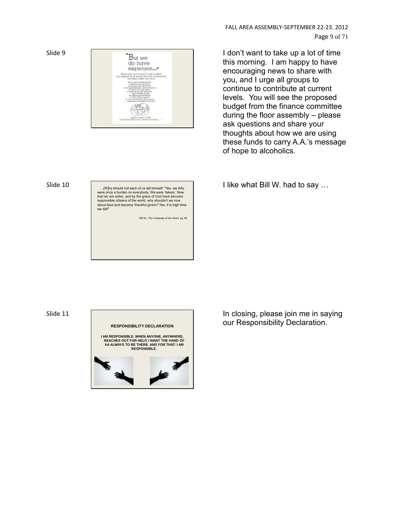

Slide 9  $\blacksquare_{\text{But we}}$  I don't want to take up a lot of time this morning. I am happy to have encouraging news to share with you, and I urge all groups to continue to contribute at current levels. You will see the proposed budget from the finance committee during the floor assembly – please ask questions and share your thoughts about how we are using these funds to carry A.A.'s message of hope to alcoholics.

I like what Bill W. had to say …

Slide 10 ... [W] N should not each of us tell himself: "Yes, we AAs were once a burden on everybody. We were 'takers.' Now that we are sober, and by the grace of God have become responsible citizens of the world, why shouldn't we now about-face and become 'thankful givers'! Yes, it is high time we did!"

*~*Bill W., *The Language of the Heart,* pg. 86

Slide 11



In closing, please join me in saying our Responsibility Declaration.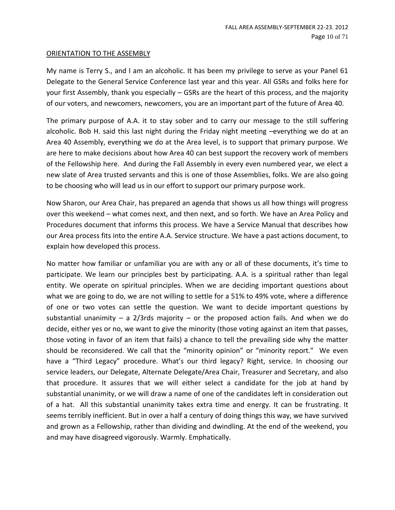#### ORIENTATION TO THE ASSEMBLY

My name is Terry S., and I am an alcoholic. It has been my privilege to serve as your Panel 61 Delegate to the General Service Conference last year and this year. All GSRs and folks here for your first Assembly, thank you especially – GSRs are the heart of this process, and the majority of our voters, and newcomers, newcomers, you are an important part of the future of Area 40.

The primary purpose of A.A. it to stay sober and to carry our message to the still suffering alcoholic. Bob H. said this last night during the Friday night meeting –everything we do at an Area 40 Assembly, everything we do at the Area level, is to support that primary purpose. We are here to make decisions about how Area 40 can best support the recovery work of members of the Fellowship here. And during the Fall Assembly in every even numbered year, we elect a new slate of Area trusted servants and this is one of those Assemblies, folks. We are also going to be choosing who will lead us in our effort to support our primary purpose work.

Now Sharon, our Area Chair, has prepared an agenda that shows us all how things will progress over this weekend – what comes next, and then next, and so forth. We have an Area Policy and Procedures document that informs this process. We have a Service Manual that describes how our Area process fits into the entire A.A. Service structure. We have a past actions document, to explain how developed this process.

No matter how familiar or unfamiliar you are with any or all of these documents, it's time to participate. We learn our principles best by participating. A.A. is a spiritual rather than legal entity. We operate on spiritual principles. When we are deciding important questions about what we are going to do, we are not willing to settle for a 51% to 49% vote, where a difference of one or two votes can settle the question. We want to decide important questions by substantial unanimity – a  $2/3$ rds majority – or the proposed action fails. And when we do decide, either yes or no, we want to give the minority (those voting against an item that passes, those voting in favor of an item that fails) a chance to tell the prevailing side why the matter should be reconsidered. We call that the "minority opinion" or "minority report." We even have a "Third Legacy" procedure. What's our third legacy? Right, service. In choosing our service leaders, our Delegate, Alternate Delegate/Area Chair, Treasurer and Secretary, and also that procedure. It assures that we will either select a candidate for the job at hand by substantial unanimity, or we will draw a name of one of the candidates left in consideration out of a hat. All this substantial unanimity takes extra time and energy. It can be frustrating. It seems terribly inefficient. But in over a half a century of doing things this way, we have survived and grown as a Fellowship, rather than dividing and dwindling. At the end of the weekend, you and may have disagreed vigorously. Warmly. Emphatically.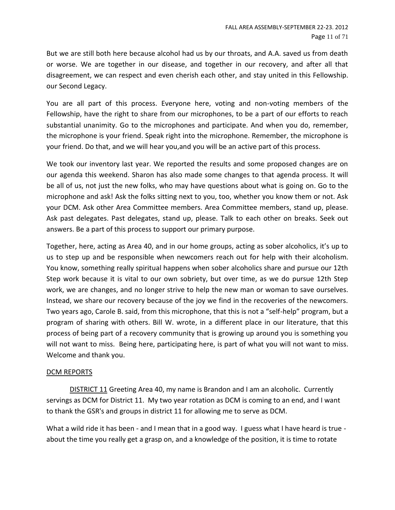But we are still both here because alcohol had us by our throats, and A.A. saved us from death or worse. We are together in our disease, and together in our recovery, and after all that disagreement, we can respect and even cherish each other, and stay united in this Fellowship. our Second Legacy.

You are all part of this process. Everyone here, voting and non-voting members of the Fellowship, have the right to share from our microphones, to be a part of our efforts to reach substantial unanimity. Go to the microphones and participate. And when you do, remember, the microphone is your friend. Speak right into the microphone. Remember, the microphone is your friend. Do that, and we will hear you,and you will be an active part of this process.

We took our inventory last year. We reported the results and some proposed changes are on our agenda this weekend. Sharon has also made some changes to that agenda process. It will be all of us, not just the new folks, who may have questions about what is going on. Go to the microphone and ask! Ask the folks sitting next to you, too, whether you know them or not. Ask your DCM. Ask other Area Committee members. Area Committee members, stand up, please. Ask past delegates. Past delegates, stand up, please. Talk to each other on breaks. Seek out answers. Be a part of this process to support our primary purpose.

Together, here, acting as Area 40, and in our home groups, acting as sober alcoholics, it's up to us to step up and be responsible when newcomers reach out for help with their alcoholism. You know, something really spiritual happens when sober alcoholics share and pursue our 12th Step work because it is vital to our own sobriety, but over time, as we do pursue 12th Step work, we are changes, and no longer strive to help the new man or woman to save ourselves. Instead, we share our recovery because of the joy we find in the recoveries of the newcomers. Two years ago, Carole B. said, from this microphone, that this is not a "self-help" program, but a program of sharing with others. Bill W. wrote, in a different place in our literature, that this process of being part of a recovery community that is growing up around you is something you will not want to miss. Being here, participating here, is part of what you will not want to miss. Welcome and thank you.

#### DCM REPORTS

DISTRICT 11 Greeting Area 40, my name is Brandon and I am an alcoholic. Currently servings as DCM for District 11. My two year rotation as DCM is coming to an end, and I want to thank the GSR's and groups in district 11 for allowing me to serve as DCM.

What a wild ride it has been - and I mean that in a good way. I guess what I have heard is true about the time you really get a grasp on, and a knowledge of the position, it is time to rotate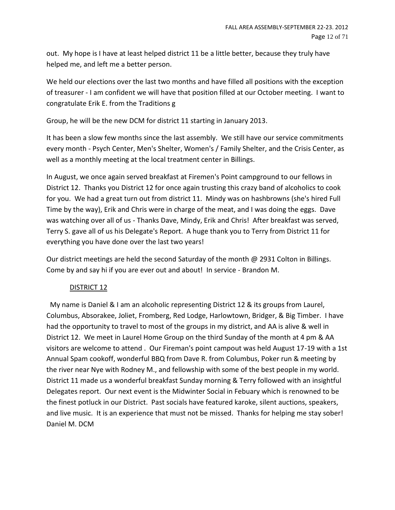out. My hope is I have at least helped district 11 be a little better, because they truly have helped me, and left me a better person.

We held our elections over the last two months and have filled all positions with the exception of treasurer - I am confident we will have that position filled at our October meeting. I want to congratulate Erik E. from the Traditions g

Group, he will be the new DCM for district 11 starting in January 2013.

It has been a slow few months since the last assembly. We still have our service commitments every month - Psych Center, Men's Shelter, Women's / Family Shelter, and the Crisis Center, as well as a monthly meeting at the local treatment center in Billings.

In August, we once again served breakfast at Firemen's Point campground to our fellows in District 12. Thanks you District 12 for once again trusting this crazy band of alcoholics to cook for you. We had a great turn out from district 11. Mindy was on hashbrowns (she's hired Full Time by the way), Erik and Chris were in charge of the meat, and I was doing the eggs. Dave was watching over all of us - Thanks Dave, Mindy, Erik and Chris! After breakfast was served, Terry S. gave all of us his Delegate's Report. A huge thank you to Terry from District 11 for everything you have done over the last two years!

Our district meetings are held the second Saturday of the month @ 2931 Colton in Billings. Come by and say hi if you are ever out and about! In service - Brandon M.

# DISTRICT 12

 My name is Daniel & I am an alcoholic representing District 12 & its groups from Laurel, Columbus, Absorakee, Joliet, Fromberg, Red Lodge, Harlowtown, Bridger, & Big Timber. I have had the opportunity to travel to most of the groups in my district, and AA is alive & well in District 12. We meet in Laurel Home Group on the third Sunday of the month at 4 pm & AA visitors are welcome to attend . Our Fireman's point campout was held August 17-19 with a 1st Annual Spam cookoff, wonderful BBQ from Dave R. from Columbus, Poker run & meeting by the river near Nye with Rodney M., and fellowship with some of the best people in my world. District 11 made us a wonderful breakfast Sunday morning & Terry followed with an insightful Delegates report. Our next event is the Midwinter Social in Febuary which is renowned to be the finest potluck in our District. Past socials have featured karoke, silent auctions, speakers, and live music. It is an experience that must not be missed. Thanks for helping me stay sober! Daniel M. DCM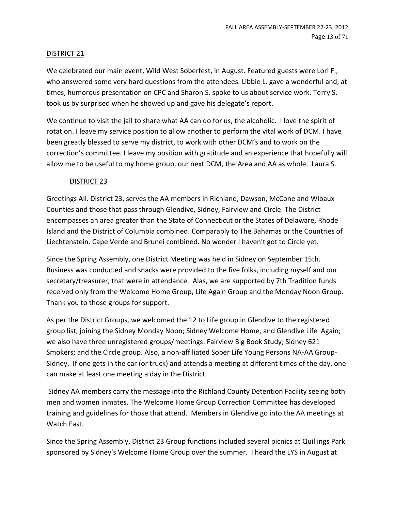#### DISTRICT 21

We celebrated our main event, Wild West Soberfest, in August. Featured guests were Lori F., who answered some very hard questions from the attendees. Libbie L. gave a wonderful and, at times, humorous presentation on CPC and Sharon S. spoke to us about service work. Terry S. took us by surprised when he showed up and gave his delegate's report.

We continue to visit the jail to share what AA can do for us, the alcoholic. I love the spirit of rotation. I leave my service position to allow another to perform the vital work of DCM. I have been greatly blessed to serve my district, to work with other DCM's and to work on the correction's committee. I leave my position with gratitude and an experience that hopefully will allow me to be useful to my home group, our next DCM, the Area and AA as whole. Laura S.

#### DISTRICT 23

Greetings All. District 23, serves the AA members in Richland, Dawson, McCone and Wibaux Counties and those that pass through Glendive, Sidney, Fairview and Circle. The District encompasses an area greater than the State of Connecticut or the States of Delaware, Rhode Island and the District of Columbia combined. Comparably to The Bahamas or the Countries of Liechtenstein. Cape Verde and Brunei combined. No wonder I haven't got to Circle yet.

Since the Spring Assembly, one District Meeting was held in Sidney on September 15th. Business was conducted and snacks were provided to the five folks, including myself and our secretary/treasurer, that were in attendance. Alas, we are supported by 7th Tradition funds received only from the Welcome Home Group, Life Again Group and the Monday Noon Group. Thank you to those groups for support.

As per the District Groups, we welcomed the 12 to Life group in Glendive to the registered group list, joining the Sidney Monday Noon; Sidney Welcome Home, and Glendive Life Again; we also have three unregistered groups/meetings: Fairview Big Book Study; Sidney 621 Smokers; and the Circle group. Also, a non-affiliated Sober Life Young Persons NA-AA Group-Sidney. If one gets in the car (or truck) and attends a meeting at different times of the day, one can make at least one meeting a day in the District.

Sidney AA members carry the message into the Richland County Detention Facility seeing both men and women inmates. The Welcome Home Group Correction Committee has developed training and guidelines for those that attend. Members in Glendive go into the AA meetings at Watch East.

Since the Spring Assembly, District 23 Group functions included several picnics at Quillings Park sponsored by Sidney's Welcome Home Group over the summer. I heard the LYS in August at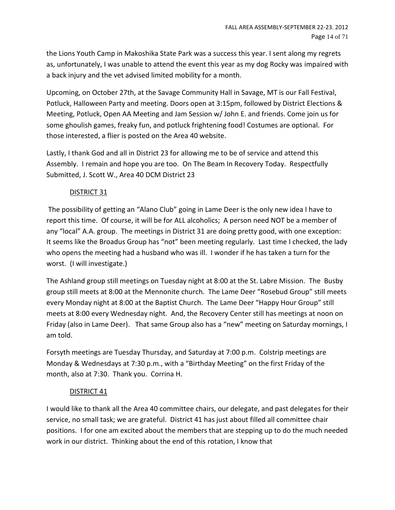the Lions Youth Camp in Makoshika State Park was a success this year. I sent along my regrets as, unfortunately, I was unable to attend the event this year as my dog Rocky was impaired with a back injury and the vet advised limited mobility for a month.

Upcoming, on October 27th, at the Savage Community Hall in Savage, MT is our Fall Festival, Potluck, Halloween Party and meeting. Doors open at 3:15pm, followed by District Elections & Meeting, Potluck, Open AA Meeting and Jam Session w/ John E. and friends. Come join us for some ghoulish games, freaky fun, and potluck frightening food! Costumes are optional. For those interested, a flier is posted on the Area 40 website.

Lastly, I thank God and all in District 23 for allowing me to be of service and attend this Assembly. I remain and hope you are too. On The Beam In Recovery Today. Respectfully Submitted, J. Scott W., Area 40 DCM District 23

# DISTRICT 31

The possibility of getting an "Alano Club" going in Lame Deer is the only new idea I have to report this time. Of course, it will be for ALL alcoholics; A person need NOT be a member of any "local" A.A. group. The meetings in District 31 are doing pretty good, with one exception: It seems like the Broadus Group has "not" been meeting regularly. Last time I checked, the lady who opens the meeting had a husband who was ill. I wonder if he has taken a turn for the worst. (I will investigate.)

The Ashland group still meetings on Tuesday night at 8:00 at the St. Labre Mission. The Busby group still meets at 8:00 at the Mennonite church. The Lame Deer "Rosebud Group" still meets every Monday night at 8:00 at the Baptist Church. The Lame Deer "Happy Hour Group" still meets at 8:00 every Wednesday night. And, the Recovery Center still has meetings at noon on Friday (also in Lame Deer). That same Group also has a "new" meeting on Saturday mornings, I am told.

Forsyth meetings are Tuesday Thursday, and Saturday at 7:00 p.m. Colstrip meetings are Monday & Wednesdays at 7:30 p.m., with a "Birthday Meeting" on the first Friday of the month, also at 7:30. Thank you. Corrina H.

# DISTRICT 41

I would like to thank all the Area 40 committee chairs, our delegate, and past delegates for their service, no small task; we are grateful. District 41 has just about filled all committee chair positions. I for one am excited about the members that are stepping up to do the much needed work in our district. Thinking about the end of this rotation, I know that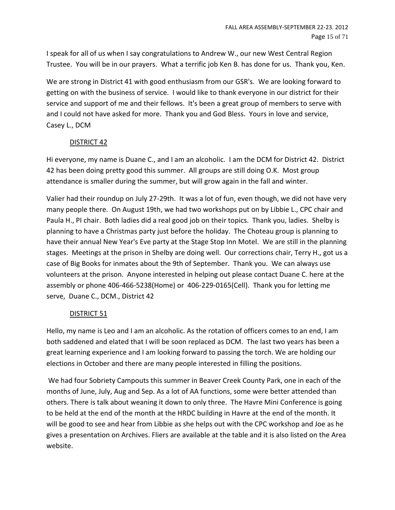I speak for all of us when I say congratulations to Andrew W., our new West Central Region Trustee. You will be in our prayers. What a terrific job Ken B. has done for us. Thank you, Ken.

We are strong in District 41 with good enthusiasm from our GSR's. We are looking forward to getting on with the business of service. I would like to thank everyone in our district for their service and support of me and their fellows. It's been a great group of members to serve with and I could not have asked for more. Thank you and God Bless. Yours in love and service, Casey L., DCM

# DISTRICT 42

Hi everyone, my name is Duane C., and I am an alcoholic. I am the DCM for District 42. District 42 has been doing pretty good this summer. All groups are still doing O.K. Most group attendance is smaller during the summer, but will grow again in the fall and winter.

Valier had their roundup on July 27-29th. It was a lot of fun, even though, we did not have very many people there. On August 19th, we had two workshops put on by Libbie L., CPC chair and Paula H., PI chair. Both ladies did a real good job on their topics. Thank you, ladies. Shelby is planning to have a Christmas party just before the holiday. The Choteau group is planning to have their annual New Year's Eve party at the Stage Stop Inn Motel. We are still in the planning stages. Meetings at the prison in Shelby are doing well. Our corrections chair, Terry H., got us a case of Big Books for inmates about the 9th of September. Thank you. We can always use volunteers at the prison. Anyone interested in helping out please contact Duane C. here at the assembly or phone 406-466-5238(Home) or 406-229-0165(Cell). Thank you for letting me serve, Duane C., DCM., District 42

# DISTRICT 51

Hello, my name is Leo and I am an alcoholic. As the rotation of officers comes to an end, I am both saddened and elated that I will be soon replaced as DCM. The last two years has been a great learning experience and I am looking forward to passing the torch. We are holding our elections in October and there are many people interested in filling the positions.

We had four Sobriety Campouts this summer in Beaver Creek County Park, one in each of the months of June, July, Aug and Sep. As a lot of AA functions, some were better attended than others. There is talk about weaning it down to only three. The Havre Mini Conference is going to be held at the end of the month at the HRDC building in Havre at the end of the month. It will be good to see and hear from Libbie as she helps out with the CPC workshop and Joe as he gives a presentation on Archives. Fliers are available at the table and it is also listed on the Area website.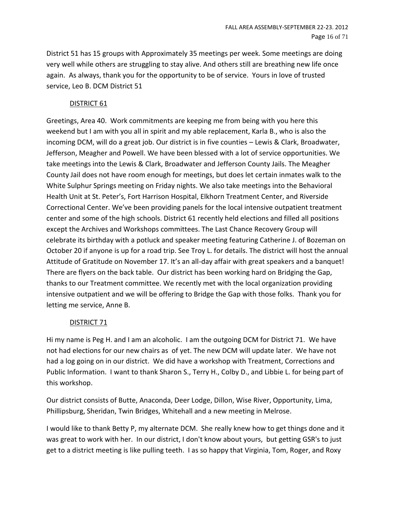District 51 has 15 groups with Approximately 35 meetings per week. Some meetings are doing very well while others are struggling to stay alive. And others still are breathing new life once again. As always, thank you for the opportunity to be of service. Yours in love of trusted service, Leo B. DCM District 51

#### DISTRICT 61

Greetings, Area 40. Work commitments are keeping me from being with you here this weekend but I am with you all in spirit and my able replacement, Karla B., who is also the incoming DCM, will do a great job. Our district is in five counties – Lewis & Clark, Broadwater, Jefferson, Meagher and Powell. We have been blessed with a lot of service opportunities. We take meetings into the Lewis & Clark, Broadwater and Jefferson County Jails. The Meagher County Jail does not have room enough for meetings, but does let certain inmates walk to the White Sulphur Springs meeting on Friday nights. We also take meetings into the Behavioral Health Unit at St. Peter's, Fort Harrison Hospital, Elkhorn Treatment Center, and Riverside Correctional Center. We've been providing panels for the local intensive outpatient treatment center and some of the high schools. District 61 recently held elections and filled all positions except the Archives and Workshops committees. The Last Chance Recovery Group will celebrate its birthday with a potluck and speaker meeting featuring Catherine J. of Bozeman on October 20 if anyone is up for a road trip. See Troy L. for details. The district will host the annual Attitude of Gratitude on November 17. It's an all-day affair with great speakers and a banquet! There are flyers on the back table. Our district has been working hard on Bridging the Gap, thanks to our Treatment committee. We recently met with the local organization providing intensive outpatient and we will be offering to Bridge the Gap with those folks. Thank you for letting me service, Anne B.

#### DISTRICT 71

Hi my name is Peg H. and I am an alcoholic. I am the outgoing DCM for District 71. We have not had elections for our new chairs as of yet. The new DCM will update later. We have not had a log going on in our district. We did have a workshop with Treatment, Corrections and Public Information. I want to thank Sharon S., Terry H., Colby D., and Libbie L. for being part of this workshop.

Our district consists of Butte, Anaconda, Deer Lodge, Dillon, Wise River, Opportunity, Lima, Phillipsburg, Sheridan, Twin Bridges, Whitehall and a new meeting in Melrose.

I would like to thank Betty P, my alternate DCM. She really knew how to get things done and it was great to work with her. In our district, I don't know about yours, but getting GSR's to just get to a district meeting is like pulling teeth. I as so happy that Virginia, Tom, Roger, and Roxy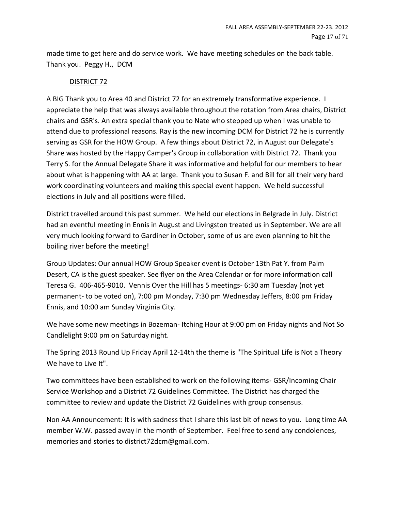made time to get here and do service work. We have meeting schedules on the back table. Thank you. Peggy H., DCM

# DISTRICT 72

A BIG Thank you to Area 40 and District 72 for an extremely transformative experience. I appreciate the help that was always available throughout the rotation from Area chairs, District chairs and GSR's. An extra special thank you to Nate who stepped up when I was unable to attend due to professional reasons. Ray is the new incoming DCM for District 72 he is currently serving as GSR for the HOW Group. A few things about District 72, in August our Delegate's Share was hosted by the Happy Camper's Group in collaboration with District 72. Thank you Terry S. for the Annual Delegate Share it was informative and helpful for our members to hear about what is happening with AA at large. Thank you to Susan F. and Bill for all their very hard work coordinating volunteers and making this special event happen. We held successful elections in July and all positions were filled.

District travelled around this past summer. We held our elections in Belgrade in July. District had an eventful meeting in Ennis in August and Livingston treated us in September. We are all very much looking forward to Gardiner in October, some of us are even planning to hit the boiling river before the meeting!

Group Updates: Our annual HOW Group Speaker event is October 13th Pat Y. from Palm Desert, CA is the guest speaker. See flyer on the Area Calendar or for more information call Teresa G. 406-465-9010. Vennis Over the Hill has 5 meetings- 6:30 am Tuesday (not yet permanent- to be voted on), 7:00 pm Monday, 7:30 pm Wednesday Jeffers, 8:00 pm Friday Ennis, and 10:00 am Sunday Virginia City.

We have some new meetings in Bozeman- Itching Hour at 9:00 pm on Friday nights and Not So Candlelight 9:00 pm on Saturday night.

The Spring 2013 Round Up Friday April 12-14th the theme is "The Spiritual Life is Not a Theory We have to Live It".

Two committees have been established to work on the following items- GSR/Incoming Chair Service Workshop and a District 72 Guidelines Committee. The District has charged the committee to review and update the District 72 Guidelines with group consensus.

Non AA Announcement: It is with sadness that I share this last bit of news to you. Long time AA member W.W. passed away in the month of September. Feel free to send any condolences, memories and stories to district72dcm@gmail.com.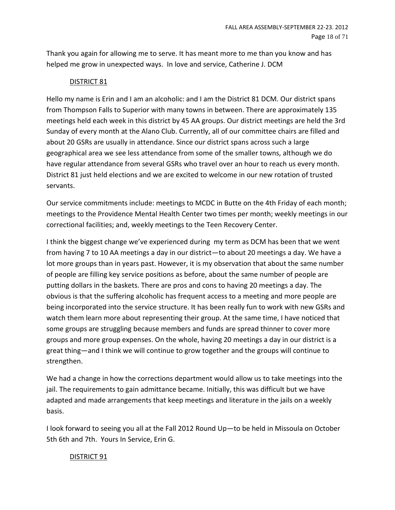Thank you again for allowing me to serve. It has meant more to me than you know and has helped me grow in unexpected ways. In love and service, Catherine J. DCM

# DISTRICT 81

Hello my name is Erin and I am an alcoholic: and I am the District 81 DCM. Our district spans from Thompson Falls to Superior with many towns in between. There are approximately 135 meetings held each week in this district by 45 AA groups. Our district meetings are held the 3rd Sunday of every month at the Alano Club. Currently, all of our committee chairs are filled and about 20 GSRs are usually in attendance. Since our district spans across such a large geographical area we see less attendance from some of the smaller towns, although we do have regular attendance from several GSRs who travel over an hour to reach us every month. District 81 just held elections and we are excited to welcome in our new rotation of trusted servants.

Our service commitments include: meetings to MCDC in Butte on the 4th Friday of each month; meetings to the Providence Mental Health Center two times per month; weekly meetings in our correctional facilities; and, weekly meetings to the Teen Recovery Center.

I think the biggest change we've experienced during my term as DCM has been that we went from having 7 to 10 AA meetings a day in our district—to about 20 meetings a day. We have a lot more groups than in years past. However, it is my observation that about the same number of people are filling key service positions as before, about the same number of people are putting dollars in the baskets. There are pros and cons to having 20 meetings a day. The obvious is that the suffering alcoholic has frequent access to a meeting and more people are being incorporated into the service structure. It has been really fun to work with new GSRs and watch them learn more about representing their group. At the same time, I have noticed that some groups are struggling because members and funds are spread thinner to cover more groups and more group expenses. On the whole, having 20 meetings a day in our district is a great thing—and I think we will continue to grow together and the groups will continue to strengthen.

We had a change in how the corrections department would allow us to take meetings into the jail. The requirements to gain admittance became. Initially, this was difficult but we have adapted and made arrangements that keep meetings and literature in the jails on a weekly basis.

I look forward to seeing you all at the Fall 2012 Round Up—to be held in Missoula on October 5th 6th and 7th. Yours In Service, Erin G.

# DISTRICT 91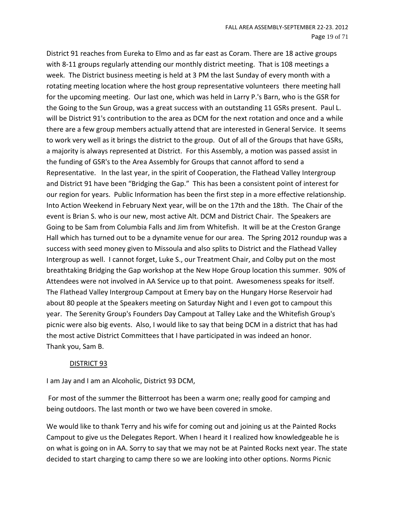District 91 reaches from Eureka to Elmo and as far east as Coram. There are 18 active groups with 8-11 groups regularly attending our monthly district meeting. That is 108 meetings a week. The District business meeting is held at 3 PM the last Sunday of every month with a rotating meeting location where the host group representative volunteers there meeting hall for the upcoming meeting. Our last one, which was held in Larry P.'s Barn, who is the GSR for the Going to the Sun Group, was a great success with an outstanding 11 GSRs present. Paul L. will be District 91's contribution to the area as DCM for the next rotation and once and a while there are a few group members actually attend that are interested in General Service. It seems to work very well as it brings the district to the group. Out of all of the Groups that have GSRs, a majority is always represented at District. For this Assembly, a motion was passed assist in the funding of GSR's to the Area Assembly for Groups that cannot afford to send a Representative. In the last year, in the spirit of Cooperation, the Flathead Valley Intergroup and District 91 have been "Bridging the Gap." This has been a consistent point of interest for our region for years. Public Information has been the first step in a more effective relationship. Into Action Weekend in February Next year, will be on the 17th and the 18th. The Chair of the event is Brian S. who is our new, most active Alt. DCM and District Chair. The Speakers are Going to be Sam from Columbia Falls and Jim from Whitefish. It will be at the Creston Grange Hall which has turned out to be a dynamite venue for our area. The Spring 2012 roundup was a success with seed money given to Missoula and also splits to District and the Flathead Valley Intergroup as well. I cannot forget, Luke S., our Treatment Chair, and Colby put on the most breathtaking Bridging the Gap workshop at the New Hope Group location this summer. 90% of Attendees were not involved in AA Service up to that point. Awesomeness speaks for itself. The Flathead Valley Intergroup Campout at Emery bay on the Hungary Horse Reservoir had about 80 people at the Speakers meeting on Saturday Night and I even got to campout this year. The Serenity Group's Founders Day Campout at Talley Lake and the Whitefish Group's picnic were also big events. Also, I would like to say that being DCM in a district that has had the most active District Committees that I have participated in was indeed an honor. Thank you, Sam B.

#### DISTRICT 93

I am Jay and I am an Alcoholic, District 93 DCM,

For most of the summer the Bitterroot has been a warm one; really good for camping and being outdoors. The last month or two we have been covered in smoke.

We would like to thank Terry and his wife for coming out and joining us at the Painted Rocks Campout to give us the Delegates Report. When I heard it I realized how knowledgeable he is on what is going on in AA. Sorry to say that we may not be at Painted Rocks next year. The state decided to start charging to camp there so we are looking into other options. Norms Picnic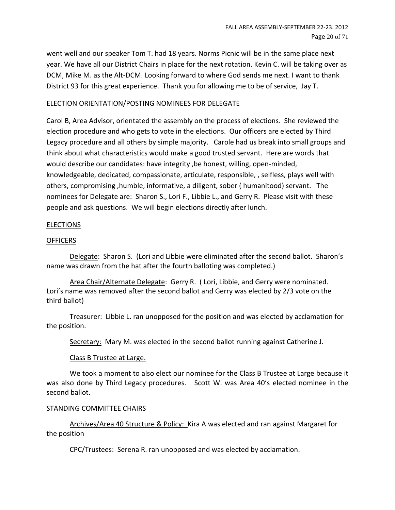went well and our speaker Tom T. had 18 years. Norms Picnic will be in the same place next year. We have all our District Chairs in place for the next rotation. Kevin C. will be taking over as DCM, Mike M. as the Alt-DCM. Looking forward to where God sends me next. I want to thank District 93 for this great experience. Thank you for allowing me to be of service, Jay T.

#### ELECTION ORIENTATION/POSTING NOMINEES FOR DELEGATE

Carol B, Area Advisor, orientated the assembly on the process of elections. She reviewed the election procedure and who gets to vote in the elections. Our officers are elected by Third Legacy procedure and all others by simple majority. Carole had us break into small groups and think about what characteristics would make a good trusted servant. Here are words that would describe our candidates: have integrity ,be honest, willing, open-minded, knowledgeable, dedicated, compassionate, articulate, responsible, , selfless, plays well with others, compromising ,humble, informative, a diligent, sober ( humanitood) servant. The nominees for Delegate are: Sharon S., Lori F., Libbie L., and Gerry R. Please visit with these people and ask questions. We will begin elections directly after lunch.

#### ELECTIONS

#### **OFFICERS**

Delegate: Sharon S. (Lori and Libbie were eliminated after the second ballot. Sharon's name was drawn from the hat after the fourth balloting was completed.)

Area Chair/Alternate Delegate: Gerry R. ( Lori, Libbie, and Gerry were nominated. Lori's name was removed after the second ballot and Gerry was elected by 2/3 vote on the third ballot)

Treasurer: Libbie L. ran unopposed for the position and was elected by acclamation for the position.

Secretary: Mary M. was elected in the second ballot running against Catherine J.

#### Class B Trustee at Large.

We took a moment to also elect our nominee for the Class B Trustee at Large because it was also done by Third Legacy procedures. Scott W. was Area 40's elected nominee in the second ballot.

#### STANDING COMMITTEE CHAIRS

Archives/Area 40 Structure & Policy: Kira A.was elected and ran against Margaret for the position

CPC/Trustees: Serena R. ran unopposed and was elected by acclamation.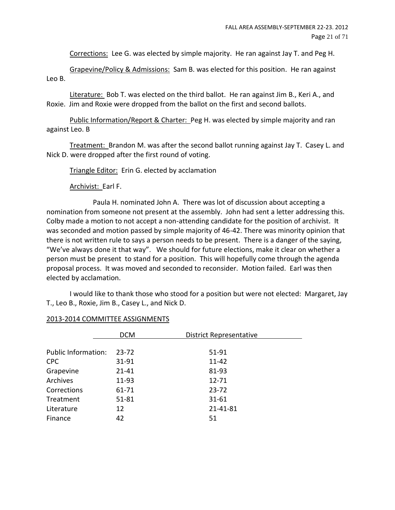Corrections: Lee G. was elected by simple majority. He ran against Jay T. and Peg H.

Grapevine/Policy & Admissions: Sam B. was elected for this position. He ran against Leo B.

Literature: Bob T. was elected on the third ballot. He ran against Jim B., Keri A., and Roxie. Jim and Roxie were dropped from the ballot on the first and second ballots.

Public Information/Report & Charter: Peg H. was elected by simple majority and ran against Leo. B

Treatment: Brandon M. was after the second ballot running against Jay T. Casey L. and Nick D. were dropped after the first round of voting.

Triangle Editor: Erin G. elected by acclamation

Archivist: Earl F.

Paula H. nominated John A. There was lot of discussion about accepting a nomination from someone not present at the assembly. John had sent a letter addressing this. Colby made a motion to not accept a non-attending candidate for the position of archivist. It was seconded and motion passed by simple majority of 46-42. There was minority opinion that there is not written rule to says a person needs to be present. There is a danger of the saying, "We've always done it that way". We should for future elections, make it clear on whether a person must be present to stand for a position. This will hopefully come through the agenda proposal process. It was moved and seconded to reconsider. Motion failed. Earl was then elected by acclamation.

I would like to thank those who stood for a position but were not elected: Margaret, Jay T., Leo B., Roxie, Jim B., Casey L., and Nick D.

|                            | <b>DCM</b> | <b>District Representative</b> |
|----------------------------|------------|--------------------------------|
|                            |            |                                |
| <b>Public Information:</b> | $23 - 72$  | 51-91                          |
| <b>CPC</b>                 | 31-91      | 11-42                          |
| Grapevine                  | $21 - 41$  | 81-93                          |
| <b>Archives</b>            | 11-93      | $12 - 71$                      |
| Corrections                | 61-71      | $23 - 72$                      |
| Treatment                  | $51 - 81$  | $31 - 61$                      |
| Literature                 | 12         | 21-41-81                       |
| Finance                    | 42         | 51                             |

#### 2013-2014 COMMITTEE ASSIGNMENTS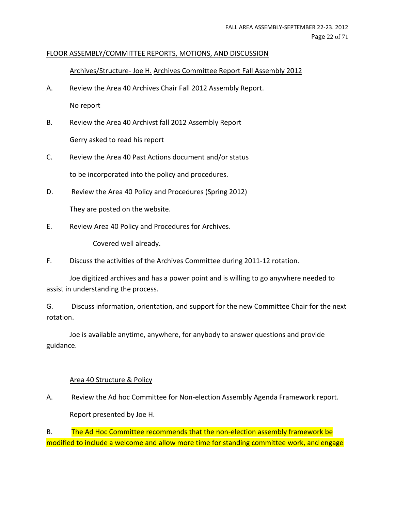#### FLOOR ASSEMBLY/COMMITTEE REPORTS, MOTIONS, AND DISCUSSION

#### Archives/Structure- Joe H. Archives Committee Report Fall Assembly 2012

- A. Review the Area 40 Archives Chair Fall 2012 Assembly Report. No report
- B. Review the Area 40 Archivst fall 2012 Assembly Report Gerry asked to read his report
- C. Review the Area 40 Past Actions document and/or status to be incorporated into the policy and procedures.
- D. Review the Area 40 Policy and Procedures (Spring 2012)

They are posted on the website.

E. Review Area 40 Policy and Procedures for Archives.

Covered well already.

F. Discuss the activities of the Archives Committee during 2011-12 rotation.

Joe digitized archives and has a power point and is willing to go anywhere needed to assist in understanding the process.

G. Discuss information, orientation, and support for the new Committee Chair for the next rotation.

Joe is available anytime, anywhere, for anybody to answer questions and provide guidance.

# Area 40 Structure & Policy

A. Review the Ad hoc Committee for Non-election Assembly Agenda Framework report. Report presented by Joe H.

B. The Ad Hoc Committee recommends that the non-election assembly framework be modified to include a welcome and allow more time for standing committee work, and engage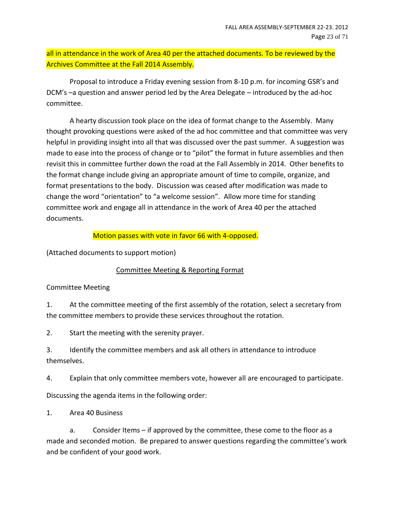# all in attendance in the work of Area 40 per the attached documents. To be reviewed by the Archives Committee at the Fall 2014 Assembly.

Proposal to introduce a Friday evening session from 8-10 p.m. for incoming GSR's and DCM's –a question and answer period led by the Area Delegate – introduced by the ad-hoc committee.

A hearty discussion took place on the idea of format change to the Assembly. Many thought provoking questions were asked of the ad hoc committee and that committee was very helpful in providing insight into all that was discussed over the past summer. A suggestion was made to ease into the process of change or to "pilot" the format in future assemblies and then revisit this in committee further down the road at the Fall Assembly in 2014. Other benefits to the format change include giving an appropriate amount of time to compile, organize, and format presentations to the body. Discussion was ceased after modification was made to change the word "orientation" to "a welcome session". Allow more time for standing committee work and engage all in attendance in the work of Area 40 per the attached documents.

# Motion passes with vote in favor 66 with 4-opposed.

(Attached documents to support motion)

# Committee Meeting & Reporting Format

# Committee Meeting

1. At the committee meeting of the first assembly of the rotation, select a secretary from the committee members to provide these services throughout the rotation.

2. Start the meeting with the serenity prayer.

3. Identify the committee members and ask all others in attendance to introduce themselves.

4. Explain that only committee members vote, however all are encouraged to participate.

Discussing the agenda items in the following order:

1. Area 40 Business

a. Consider Items – if approved by the committee, these come to the floor as a made and seconded motion. Be prepared to answer questions regarding the committee's work and be confident of your good work.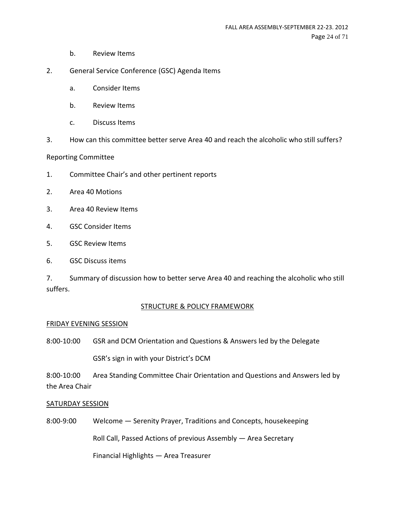- b. Review Items
- 2. General Service Conference (GSC) Agenda Items
	- a. Consider Items
	- b. Review Items
	- c. Discuss Items
- 3. How can this committee better serve Area 40 and reach the alcoholic who still suffers?

#### Reporting Committee

- 1. Committee Chair's and other pertinent reports
- 2. Area 40 Motions
- 3. Area 40 Review Items
- 4. GSC Consider Items
- 5. GSC Review Items
- 6. GSC Discuss items

7. Summary of discussion how to better serve Area 40 and reaching the alcoholic who still suffers.

#### STRUCTURE & POLICY FRAMEWORK

#### FRIDAY EVENING SESSION

8:00-10:00 GSR and DCM Orientation and Questions & Answers led by the Delegate

GSR's sign in with your District's DCM

8:00-10:00 Area Standing Committee Chair Orientation and Questions and Answers led by the Area Chair

#### SATURDAY SESSION

8:00-9:00 Welcome ― Serenity Prayer, Traditions and Concepts, housekeeping

Roll Call, Passed Actions of previous Assembly ― Area Secretary

Financial Highlights ― Area Treasurer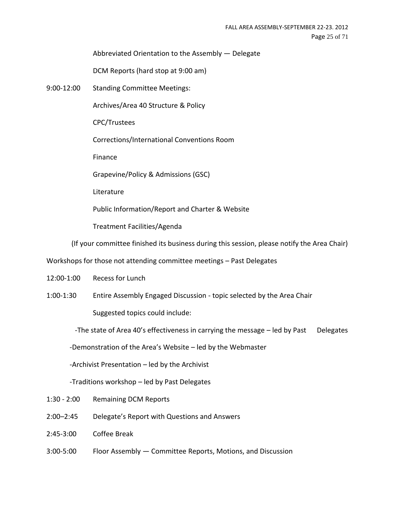Abbreviated Orientation to the Assembly ― Delegate

DCM Reports (hard stop at 9:00 am)

9:00-12:00 Standing Committee Meetings:

Archives/Area 40 Structure & Policy

CPC/Trustees

Corrections/International Conventions Room

Finance

Grapevine/Policy & Admissions (GSC)

Literature

Public Information/Report and Charter & Website

Treatment Facilities/Agenda

(If your committee finished its business during this session, please notify the Area Chair)

Workshops for those not attending committee meetings – Past Delegates

- 12:00-1:00 Recess for Lunch
- 1:00-1:30 Entire Assembly Engaged Discussion topic selected by the Area Chair Suggested topics could include:

-The state of Area  $40'$ s effectiveness in carrying the message  $-$  led by Past Delegates

-Demonstration of the Area's Website – led by the Webmaster

-Archivist Presentation – led by the Archivist

-Traditions workshop – led by Past Delegates

- 1:30 2:00 Remaining DCM Reports
- 2:00–2:45 Delegate's Report with Questions and Answers
- 2:45-3:00 Coffee Break
- 3:00-5:00 Floor Assembly ― Committee Reports, Motions, and Discussion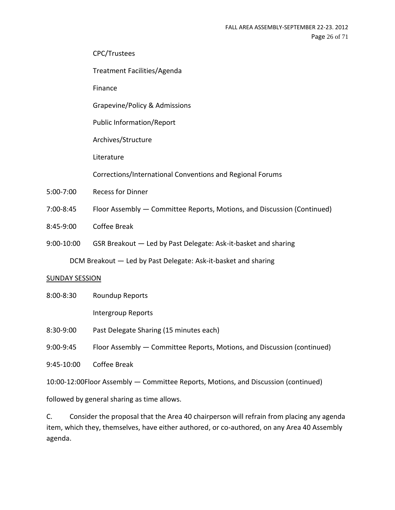CPC/Trustees

Treatment Facilities/Agenda

Finance

Grapevine/Policy & Admissions

Public Information/Report

Archives/Structure

Literature

Corrections/International Conventions and Regional Forums

- 5:00-7:00 Recess for Dinner
- 7:00-8:45 Floor Assembly ― Committee Reports, Motions, and Discussion (Continued)
- 8:45-9:00 Coffee Break
- 9:00-10:00 GSR Breakout ― Led by Past Delegate: Ask-it-basket and sharing

DCM Breakout ― Led by Past Delegate: Ask-it-basket and sharing

#### SUNDAY SESSION

8:00-8:30 Roundup Reports

Intergroup Reports

8:30-9:00 Past Delegate Sharing (15 minutes each)

9:00-9:45 Floor Assembly ― Committee Reports, Motions, and Discussion (continued)

9:45-10:00 Coffee Break

10:00-12:00Floor Assembly ― Committee Reports, Motions, and Discussion (continued)

followed by general sharing as time allows.

C. Consider the proposal that the Area 40 chairperson will refrain from placing any agenda item, which they, themselves, have either authored, or co-authored, on any Area 40 Assembly agenda.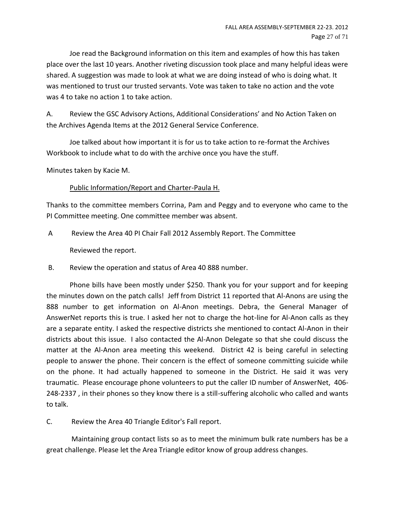Joe read the Background information on this item and examples of how this has taken place over the last 10 years. Another riveting discussion took place and many helpful ideas were shared. A suggestion was made to look at what we are doing instead of who is doing what. It was mentioned to trust our trusted servants. Vote was taken to take no action and the vote was 4 to take no action 1 to take action.

A. Review the GSC Advisory Actions, Additional Considerations' and No Action Taken on the Archives Agenda Items at the 2012 General Service Conference.

Joe talked about how important it is for us to take action to re-format the Archives Workbook to include what to do with the archive once you have the stuff.

Minutes taken by Kacie M.

# Public Information/Report and Charter-Paula H.

Thanks to the committee members Corrina, Pam and Peggy and to everyone who came to the PI Committee meeting. One committee member was absent.

A Review the Area 40 PI Chair Fall 2012 Assembly Report. The Committee

Reviewed the report.

B. Review the operation and status of Area 40 888 number.

Phone bills have been mostly under \$250. Thank you for your support and for keeping the minutes down on the patch calls! Jeff from District 11 reported that Al-Anons are using the 888 number to get information on Al-Anon meetings. Debra, the General Manager of AnswerNet reports this is true. I asked her not to charge the hot-line for Al-Anon calls as they are a separate entity. I asked the respective districts she mentioned to contact Al-Anon in their districts about this issue. I also contacted the Al-Anon Delegate so that she could discuss the matter at the Al-Anon area meeting this weekend. District 42 is being careful in selecting people to answer the phone. Their concern is the effect of someone committing suicide while on the phone. It had actually happened to someone in the District. He said it was very traumatic. Please encourage phone volunteers to put the caller ID number of AnswerNet, 406- 248-2337 , in their phones so they know there is a still-suffering alcoholic who called and wants to talk.

C. Review the Area 40 Triangle Editor's Fall report.

Maintaining group contact lists so as to meet the minimum bulk rate numbers has be a great challenge. Please let the Area Triangle editor know of group address changes.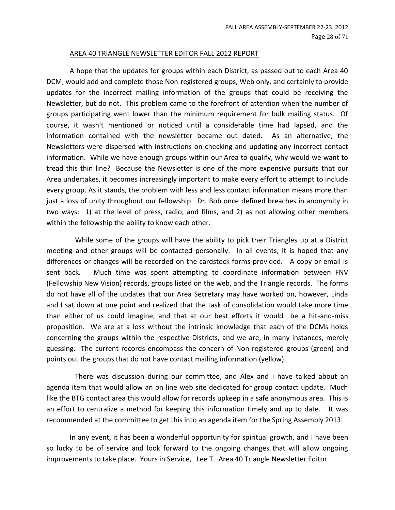#### AREA 40 TRIANGLE NEWSLETTER EDITOR FALL 2012 REPORT

A hope that the updates for groups within each District, as passed out to each Area 40 DCM, would add and complete those Non-registered groups, Web only, and certainly to provide updates for the incorrect mailing information of the groups that could be receiving the Newsletter, but do not. This problem came to the forefront of attention when the number of groups participating went lower than the minimum requirement for bulk mailing status. Of course, it wasn't mentioned or noticed until a considerable time had lapsed, and the information contained with the newsletter became out dated. As an alternative, the Newsletters were dispersed with instructions on checking and updating any incorrect contact information. While we have enough groups within our Area to qualify, why would we want to tread this thin line? Because the Newsletter is one of the more expensive pursuits that our Area undertakes, it becomes increasingly important to make every effort to attempt to include every group. As it stands, the problem with less and less contact information means more than just a loss of unity throughout our fellowship. Dr. Bob once defined breaches in anonymity in two ways: 1) at the level of press, radio, and films, and 2) as not allowing other members within the fellowship the ability to know each other.

 While some of the groups will have the ability to pick their Triangles up at a District meeting and other groups will be contacted personally. In all events, it is hoped that any differences or changes will be recorded on the cardstock forms provided. A copy or email is sent back. Much time was spent attempting to coordinate information between FNV (Fellowship New Vision) records, groups listed on the web, and the Triangle records. The forms do not have all of the updates that our Area Secretary may have worked on, however, Linda and I sat down at one point and realized that the task of consolidation would take more time than either of us could imagine, and that at our best efforts it would be a hit-and-miss proposition. We are at a loss without the intrinsic knowledge that each of the DCMs holds concerning the groups within the respective Districts, and we are, in many instances, merely guessing. The current records encompass the concern of Non-registered groups (green) and points out the groups that do not have contact mailing information (yellow).

 There was discussion during our committee, and Alex and I have talked about an agenda item that would allow an on line web site dedicated for group contact update. Much like the BTG contact area this would allow for records upkeep in a safe anonymous area. This is an effort to centralize a method for keeping this information timely and up to date. It was recommended at the committee to get this into an agenda item for the Spring Assembly 2013.

In any event, it has been a wonderful opportunity for spiritual growth, and I have been so lucky to be of service and look forward to the ongoing changes that will allow ongoing improvements to take place. Yours in Service, Lee T. Area 40 Triangle Newsletter Editor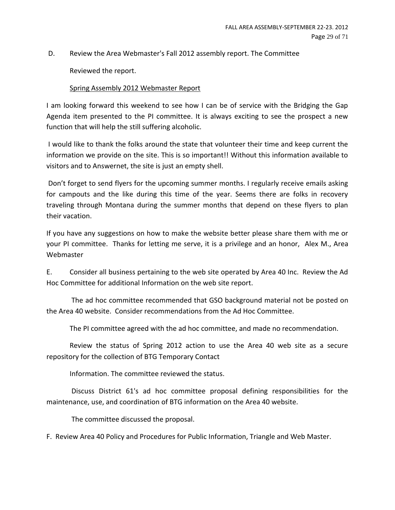D. Review the Area Webmaster's Fall 2012 assembly report. The Committee

Reviewed the report.

#### Spring Assembly 2012 Webmaster Report

I am looking forward this weekend to see how I can be of service with the Bridging the Gap Agenda item presented to the PI committee. It is always exciting to see the prospect a new function that will help the still suffering alcoholic.

I would like to thank the folks around the state that volunteer their time and keep current the information we provide on the site. This is so important!! Without this information available to visitors and to Answernet, the site is just an empty shell.

Don't forget to send flyers for the upcoming summer months. I regularly receive emails asking for campouts and the like during this time of the year. Seems there are folks in recovery traveling through Montana during the summer months that depend on these flyers to plan their vacation.

If you have any suggestions on how to make the website better please share them with me or your PI committee. Thanks for letting me serve, it is a privilege and an honor, Alex M., Area Webmaster

E. Consider all business pertaining to the web site operated by Area 40 Inc. Review the Ad Hoc Committee for additional Information on the web site report.

The ad hoc committee recommended that GSO background material not be posted on the Area 40 website. Consider recommendations from the Ad Hoc Committee.

The PI committee agreed with the ad hoc committee, and made no recommendation.

Review the status of Spring 2012 action to use the Area 40 web site as a secure repository for the collection of BTG Temporary Contact

Information. The committee reviewed the status.

Discuss District 61's ad hoc committee proposal defining responsibilities for the maintenance, use, and coordination of BTG information on the Area 40 website.

The committee discussed the proposal.

F. Review Area 40 Policy and Procedures for Public Information, Triangle and Web Master.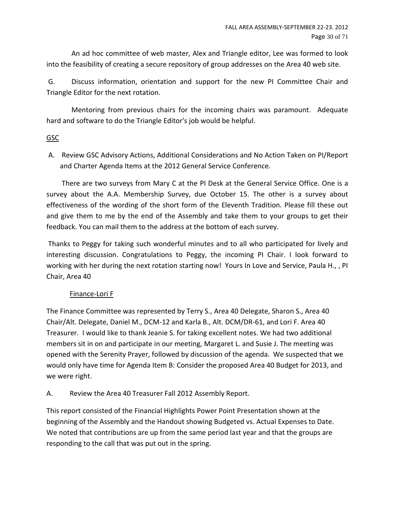An ad hoc committee of web master, Alex and Triangle editor, Lee was formed to look into the feasibility of creating a secure repository of group addresses on the Area 40 web site.

G. Discuss information, orientation and support for the new PI Committee Chair and Triangle Editor for the next rotation.

Mentoring from previous chairs for the incoming chairs was paramount. Adequate hard and software to do the Triangle Editor's job would be helpful.

# GSC

A. Review GSC Advisory Actions, Additional Considerations and No Action Taken on PI/Report and Charter Agenda Items at the 2012 General Service Conference.

There are two surveys from Mary C at the PI Desk at the General Service Office. One is a survey about the A.A. Membership Survey, due October 15. The other is a survey about effectiveness of the wording of the short form of the Eleventh Tradition. Please fill these out and give them to me by the end of the Assembly and take them to your groups to get their feedback. You can mail them to the address at the bottom of each survey.

Thanks to Peggy for taking such wonderful minutes and to all who participated for lively and interesting discussion. Congratulations to Peggy, the incoming PI Chair. I look forward to working with her during the next rotation starting now! Yours In Love and Service, Paula H., , PI Chair, Area 40

# Finance-Lori F

The Finance Committee was represented by Terry S., Area 40 Delegate, Sharon S., Area 40 Chair/Alt. Delegate, Daniel M., DCM-12 and Karla B., Alt. DCM/DR-61, and Lori F. Area 40 Treasurer. I would like to thank Jeanie S. for taking excellent notes. We had two additional members sit in on and participate in our meeting, Margaret L. and Susie J. The meeting was opened with the Serenity Prayer, followed by discussion of the agenda. We suspected that we would only have time for Agenda Item B: Consider the proposed Area 40 Budget for 2013, and we were right.

A. Review the Area 40 Treasurer Fall 2012 Assembly Report.

This report consisted of the Financial Highlights Power Point Presentation shown at the beginning of the Assembly and the Handout showing Budgeted vs. Actual Expenses to Date. We noted that contributions are up from the same period last year and that the groups are responding to the call that was put out in the spring.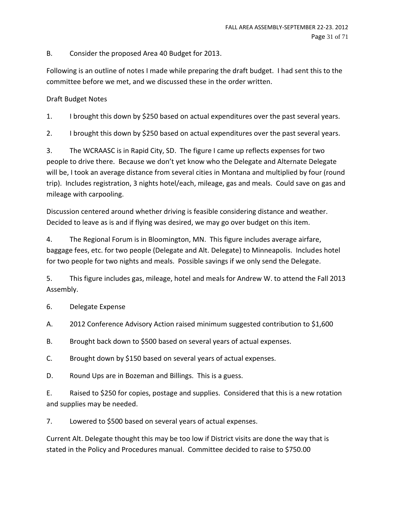B. Consider the proposed Area 40 Budget for 2013.

Following is an outline of notes I made while preparing the draft budget. I had sent this to the committee before we met, and we discussed these in the order written.

# Draft Budget Notes

1. I brought this down by \$250 based on actual expenditures over the past several years.

2. I brought this down by \$250 based on actual expenditures over the past several years.

3. The WCRAASC is in Rapid City, SD. The figure I came up reflects expenses for two people to drive there. Because we don't yet know who the Delegate and Alternate Delegate will be, I took an average distance from several cities in Montana and multiplied by four (round trip). Includes registration, 3 nights hotel/each, mileage, gas and meals. Could save on gas and mileage with carpooling.

Discussion centered around whether driving is feasible considering distance and weather. Decided to leave as is and if flying was desired, we may go over budget on this item.

4. The Regional Forum is in Bloomington, MN. This figure includes average airfare, baggage fees, etc. for two people (Delegate and Alt. Delegate) to Minneapolis. Includes hotel for two people for two nights and meals. Possible savings if we only send the Delegate.

5. This figure includes gas, mileage, hotel and meals for Andrew W. to attend the Fall 2013 Assembly.

6. Delegate Expense

A. 2012 Conference Advisory Action raised minimum suggested contribution to \$1,600

B. Brought back down to \$500 based on several years of actual expenses.

C. Brought down by \$150 based on several years of actual expenses.

D. Round Ups are in Bozeman and Billings. This is a guess.

E. Raised to \$250 for copies, postage and supplies. Considered that this is a new rotation and supplies may be needed.

7. Lowered to \$500 based on several years of actual expenses.

Current Alt. Delegate thought this may be too low if District visits are done the way that is stated in the Policy and Procedures manual. Committee decided to raise to \$750.00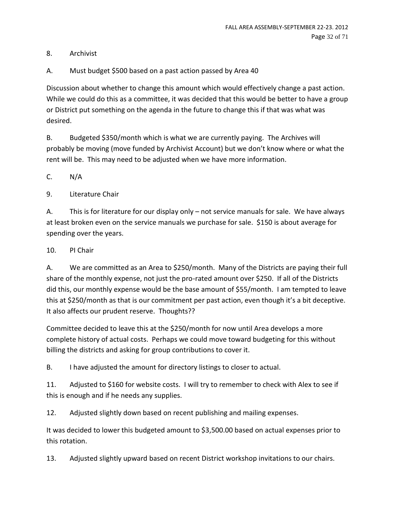8. Archivist

A. Must budget \$500 based on a past action passed by Area 40

Discussion about whether to change this amount which would effectively change a past action. While we could do this as a committee, it was decided that this would be better to have a group or District put something on the agenda in the future to change this if that was what was desired.

B. Budgeted \$350/month which is what we are currently paying. The Archives will probably be moving (move funded by Archivist Account) but we don't know where or what the rent will be. This may need to be adjusted when we have more information.

C. N/A

9. Literature Chair

A. This is for literature for our display only – not service manuals for sale. We have always at least broken even on the service manuals we purchase for sale. \$150 is about average for spending over the years.

10. PI Chair

A. We are committed as an Area to \$250/month. Many of the Districts are paying their full share of the monthly expense, not just the pro-rated amount over \$250. If all of the Districts did this, our monthly expense would be the base amount of \$55/month. I am tempted to leave this at \$250/month as that is our commitment per past action, even though it's a bit deceptive. It also affects our prudent reserve. Thoughts??

Committee decided to leave this at the \$250/month for now until Area develops a more complete history of actual costs. Perhaps we could move toward budgeting for this without billing the districts and asking for group contributions to cover it.

B. I have adjusted the amount for directory listings to closer to actual.

11. Adjusted to \$160 for website costs. I will try to remember to check with Alex to see if this is enough and if he needs any supplies.

12. Adjusted slightly down based on recent publishing and mailing expenses.

It was decided to lower this budgeted amount to \$3,500.00 based on actual expenses prior to this rotation.

13. Adjusted slightly upward based on recent District workshop invitations to our chairs.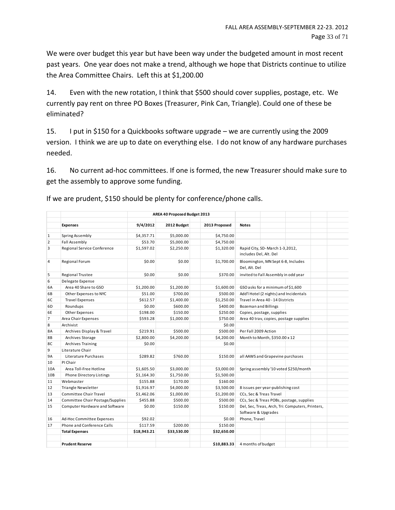We were over budget this year but have been way under the budgeted amount in most recent past years. One year does not make a trend, although we hope that Districts continue to utilize the Area Committee Chairs. Left this at \$1,200.00

14. Even with the new rotation, I think that \$500 should cover supplies, postage, etc. We currently pay rent on three PO Boxes (Treasurer, Pink Can, Triangle). Could one of these be eliminated?

15. I put in \$150 for a Quickbooks software upgrade – we are currently using the 2009 version. I think we are up to date on everything else. I do not know of any hardware purchases needed.

16. No current ad-hoc committees. If one is formed, the new Treasurer should make sure to get the assembly to approve some funding.

|                |                                  | AREA 40 Proposed Budget 2013 |             |               |                                                                         |  |
|----------------|----------------------------------|------------------------------|-------------|---------------|-------------------------------------------------------------------------|--|
|                | <b>Expenses</b>                  | 9/4/2012                     | 2012 Budget | 2013 Proposed | <b>Notes</b>                                                            |  |
|                |                                  |                              |             |               |                                                                         |  |
| 1              | Spring Assembly                  | \$4,357.71                   | \$5,000.00  | \$4,750.00    |                                                                         |  |
| $\overline{2}$ | Fall Assembly                    | \$53.70                      | \$5,000.00  | \$4,750.00    |                                                                         |  |
| 3              | Regional Service Conference      | \$1,597.02                   | \$2,250.00  | \$1,320.00    | Rapid City, SD-March 1-3,2012,<br>includes Del, Alt. Del                |  |
| $\overline{4}$ | Regional Forum                   | \$0.00                       | \$0.00      | \$1,700.00    | Bloomington, MN Sept 6-8, Includes<br>Del, Alt. Del                     |  |
| 5              | Regional Trustee                 | \$0.00                       | \$0.00      | \$370.00      | invited to Fall Assembly in odd year                                    |  |
| 6              | Delegate Expense                 |                              |             |               |                                                                         |  |
| 6A             | Area 40 Share to GSO             | \$1,200.00                   | \$1,200.00  | \$1,600.00    | GSO asks for a minimum of \$1,600                                       |  |
| 6B             | Other Expenses to NYC            | \$51.00                      | \$700.00    | \$500.00      | Add'l Hotel (2 nights) and Incidentals                                  |  |
| 6C             | <b>Travel Expenses</b>           | \$612.57                     | \$1,400.00  | \$1,250.00    | Travel in Area 40 - 14 Districts                                        |  |
| 6D             | Roundups                         | \$0.00                       | \$600.00    | \$400.00      | <b>Bozeman and Billings</b>                                             |  |
| 6E             | Other Expenses                   | \$198.00                     | \$150.00    | \$250.00      | Copies, postage, supplies                                               |  |
| $\overline{7}$ | Area Chair Expenses              | \$593.28                     | \$1,000.00  | \$750.00      | Area 40 trav, copies, postage supplies                                  |  |
| 8              | Archivist                        |                              |             | \$0.00        |                                                                         |  |
| <b>8A</b>      | Archives Display & Travel        | \$219.91                     | \$500.00    | \$500.00      | Per Fall 2009 Action                                                    |  |
| 8B             | Archives Storage                 | \$2,800.00                   | \$4,200.00  | \$4,200.00    | Month to Month, \$350.00 x 12                                           |  |
| 8C             | Archives Training                | \$0.00                       |             | \$0.00        |                                                                         |  |
| 9              | Literature Chair                 |                              |             |               |                                                                         |  |
| <b>9A</b>      | Literature Purchases             | \$289.82                     | \$760.00    | \$150.00      | all AAWS and Grapevine purchases                                        |  |
| 10             | PI Chair                         |                              |             |               |                                                                         |  |
| 10A            | Area Toll-Free Hotline           | \$1,605.50                   | \$3,000.00  | \$3,000.00    | Spring assembly '10 voted \$250/month                                   |  |
| 10B            | Phone Directory Listings         | \$1,164.30                   | \$1,750.00  | \$1,500.00    |                                                                         |  |
| 11             | Webmaster                        | \$155.88                     | \$170.00    | \$160.00      |                                                                         |  |
| 12             | <b>Triangle Newsletter</b>       | \$1.916.97                   | \$4,000.00  | \$3,500.00    | 8 issues per year-publishing cost                                       |  |
| 13             | <b>Committee Chair Travel</b>    | \$1,462.06                   | \$1,000.00  | \$1,200.00    | CCs, Sec & Treas Travel                                                 |  |
| 14             | Committee Chair Postage/Supplies | \$455.88                     | \$500.00    | \$500.00      | CCs, Sec & Treas POBs, postage, supplies                                |  |
| 15             | Computer Hardware and Software   | \$0.00                       | \$150.00    | \$150.00      | Del, Sec, Treas, Arch, Tri: Computers, Printers,<br>Software & Upgrades |  |
| 16             | Ad-Hoc Committee Expenses        | \$92.02                      |             | \$0.00        | Phone, Travel                                                           |  |
| 17             | Phone and Conference Calls       | \$117.59                     | \$200.00    | \$150.00      |                                                                         |  |
|                | <b>Total Expenses</b>            | \$18,943.21                  | \$33,530.00 | \$32,650.00   |                                                                         |  |
|                | <b>Prudent Reserve</b>           |                              |             | \$10,883.33   | 4 months of budget                                                      |  |

If we are prudent, \$150 should be plenty for conference/phone calls.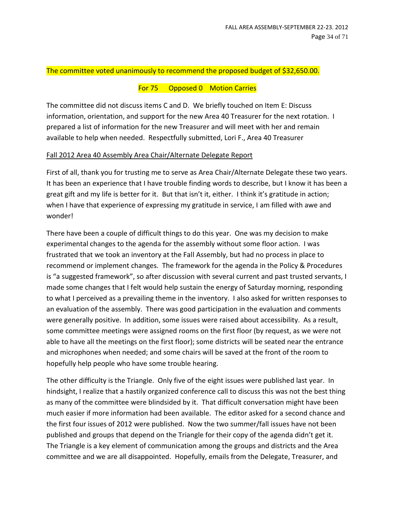#### The committee voted unanimously to recommend the proposed budget of \$32,650.00.

#### For 75 Opposed 0 Motion Carries

The committee did not discuss items C and D. We briefly touched on Item E: Discuss information, orientation, and support for the new Area 40 Treasurer for the next rotation. I prepared a list of information for the new Treasurer and will meet with her and remain available to help when needed. Respectfully submitted, Lori F., Area 40 Treasurer

#### Fall 2012 Area 40 Assembly Area Chair/Alternate Delegate Report

First of all, thank you for trusting me to serve as Area Chair/Alternate Delegate these two years. It has been an experience that I have trouble finding words to describe, but I know it has been a great gift and my life is better for it. But that isn't it, either. I think it's gratitude in action; when I have that experience of expressing my gratitude in service, I am filled with awe and wonder!

There have been a couple of difficult things to do this year. One was my decision to make experimental changes to the agenda for the assembly without some floor action. I was frustrated that we took an inventory at the Fall Assembly, but had no process in place to recommend or implement changes. The framework for the agenda in the Policy & Procedures is "a suggested framework", so after discussion with several current and past trusted servants, I made some changes that I felt would help sustain the energy of Saturday morning, responding to what I perceived as a prevailing theme in the inventory. I also asked for written responses to an evaluation of the assembly. There was good participation in the evaluation and comments were generally positive. In addition, some issues were raised about accessibility. As a result, some committee meetings were assigned rooms on the first floor (by request, as we were not able to have all the meetings on the first floor); some districts will be seated near the entrance and microphones when needed; and some chairs will be saved at the front of the room to hopefully help people who have some trouble hearing.

The other difficulty is the Triangle. Only five of the eight issues were published last year. In hindsight, I realize that a hastily organized conference call to discuss this was not the best thing as many of the committee were blindsided by it. That difficult conversation might have been much easier if more information had been available. The editor asked for a second chance and the first four issues of 2012 were published. Now the two summer/fall issues have not been published and groups that depend on the Triangle for their copy of the agenda didn't get it. The Triangle is a key element of communication among the groups and districts and the Area committee and we are all disappointed. Hopefully, emails from the Delegate, Treasurer, and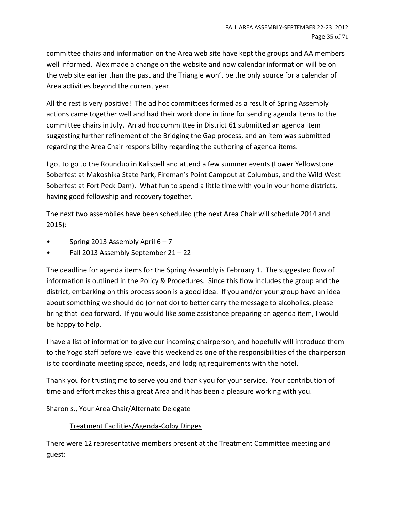committee chairs and information on the Area web site have kept the groups and AA members well informed. Alex made a change on the website and now calendar information will be on the web site earlier than the past and the Triangle won't be the only source for a calendar of Area activities beyond the current year.

All the rest is very positive! The ad hoc committees formed as a result of Spring Assembly actions came together well and had their work done in time for sending agenda items to the committee chairs in July. An ad hoc committee in District 61 submitted an agenda item suggesting further refinement of the Bridging the Gap process, and an item was submitted regarding the Area Chair responsibility regarding the authoring of agenda items.

I got to go to the Roundup in Kalispell and attend a few summer events (Lower Yellowstone Soberfest at Makoshika State Park, Fireman's Point Campout at Columbus, and the Wild West Soberfest at Fort Peck Dam). What fun to spend a little time with you in your home districts, having good fellowship and recovery together.

The next two assemblies have been scheduled (the next Area Chair will schedule 2014 and 2015):

- Spring 2013 Assembly April  $6 7$
- Fall 2013 Assembly September 21 22

The deadline for agenda items for the Spring Assembly is February 1. The suggested flow of information is outlined in the Policy & Procedures. Since this flow includes the group and the district, embarking on this process soon is a good idea. If you and/or your group have an idea about something we should do (or not do) to better carry the message to alcoholics, please bring that idea forward. If you would like some assistance preparing an agenda item, I would be happy to help.

I have a list of information to give our incoming chairperson, and hopefully will introduce them to the Yogo staff before we leave this weekend as one of the responsibilities of the chairperson is to coordinate meeting space, needs, and lodging requirements with the hotel.

Thank you for trusting me to serve you and thank you for your service. Your contribution of time and effort makes this a great Area and it has been a pleasure working with you.

Sharon s., Your Area Chair/Alternate Delegate

# Treatment Facilities/Agenda-Colby Dinges

There were 12 representative members present at the Treatment Committee meeting and guest: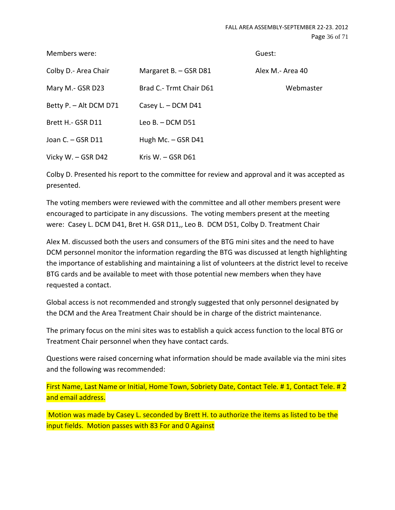Members were: Guest:

| Colby D.- Area Chair   | Margaret B. - GSR D81   | Alex M.- Area 40 |
|------------------------|-------------------------|------------------|
| Mary M.- GSR D23       | Brad C.- Trmt Chair D61 | Webmaster        |
| Betty P. - Alt DCM D71 | Casey L. - DCM D41      |                  |
| Brett H. GSR D11       | Leo B. $-$ DCM D51      |                  |
| Joan C. - GSR D11      | Hugh Mc. - GSR D41      |                  |
| Vicky W. - GSR D42     | Kris W. $-$ GSR D61     |                  |

Colby D. Presented his report to the committee for review and approval and it was accepted as presented.

The voting members were reviewed with the committee and all other members present were encouraged to participate in any discussions. The voting members present at the meeting were: Casey L. DCM D41, Bret H. GSR D11,, Leo B. DCM D51, Colby D. Treatment Chair

Alex M. discussed both the users and consumers of the BTG mini sites and the need to have DCM personnel monitor the information regarding the BTG was discussed at length highlighting the importance of establishing and maintaining a list of volunteers at the district level to receive BTG cards and be available to meet with those potential new members when they have requested a contact.

Global access is not recommended and strongly suggested that only personnel designated by the DCM and the Area Treatment Chair should be in charge of the district maintenance.

The primary focus on the mini sites was to establish a quick access function to the local BTG or Treatment Chair personnel when they have contact cards.

Questions were raised concerning what information should be made available via the mini sites and the following was recommended:

First Name, Last Name or Initial, Home Town, Sobriety Date, Contact Tele. # 1, Contact Tele. # 2 and email address.

Motion was made by Casey L. seconded by Brett H. to authorize the items as listed to be the input fields. Motion passes with 83 For and 0 Against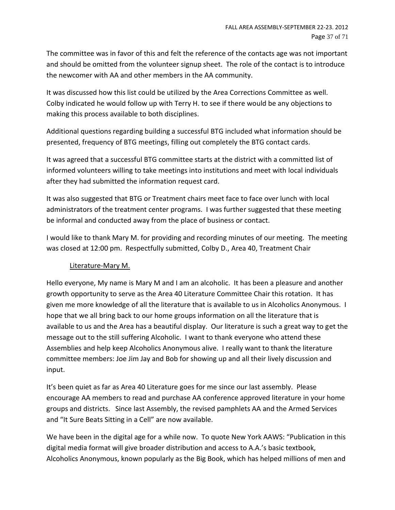The committee was in favor of this and felt the reference of the contacts age was not important and should be omitted from the volunteer signup sheet. The role of the contact is to introduce the newcomer with AA and other members in the AA community.

It was discussed how this list could be utilized by the Area Corrections Committee as well. Colby indicated he would follow up with Terry H. to see if there would be any objections to making this process available to both disciplines.

Additional questions regarding building a successful BTG included what information should be presented, frequency of BTG meetings, filling out completely the BTG contact cards.

It was agreed that a successful BTG committee starts at the district with a committed list of informed volunteers willing to take meetings into institutions and meet with local individuals after they had submitted the information request card.

It was also suggested that BTG or Treatment chairs meet face to face over lunch with local administrators of the treatment center programs. I was further suggested that these meeting be informal and conducted away from the place of business or contact.

I would like to thank Mary M. for providing and recording minutes of our meeting. The meeting was closed at 12:00 pm. Respectfully submitted, Colby D., Area 40, Treatment Chair

# Literature-Mary M.

Hello everyone, My name is Mary M and I am an alcoholic. It has been a pleasure and another growth opportunity to serve as the Area 40 Literature Committee Chair this rotation. It has given me more knowledge of all the literature that is available to us in Alcoholics Anonymous. I hope that we all bring back to our home groups information on all the literature that is available to us and the Area has a beautiful display. Our literature is such a great way to get the message out to the still suffering Alcoholic. I want to thank everyone who attend these Assemblies and help keep Alcoholics Anonymous alive. I really want to thank the literature committee members: Joe Jim Jay and Bob for showing up and all their lively discussion and input.

It's been quiet as far as Area 40 Literature goes for me since our last assembly. Please encourage AA members to read and purchase AA conference approved literature in your home groups and districts. Since last Assembly, the revised pamphlets AA and the Armed Services and "It Sure Beats Sitting in a Cell" are now available.

We have been in the digital age for a while now. To quote New York AAWS: "Publication in this digital media format will give broader distribution and access to A.A.'s basic textbook, Alcoholics Anonymous, known popularly as the Big Book, which has helped millions of men and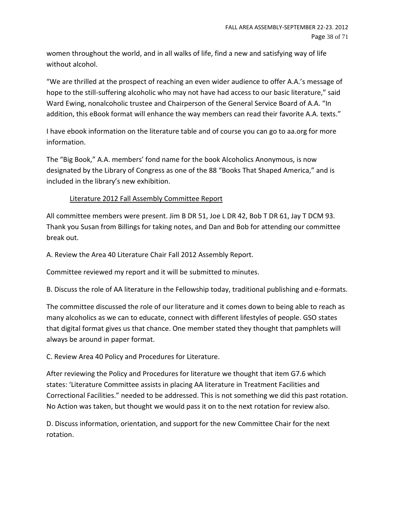women throughout the world, and in all walks of life, find a new and satisfying way of life without alcohol.

"We are thrilled at the prospect of reaching an even wider audience to offer A.A.'s message of hope to the still-suffering alcoholic who may not have had access to our basic literature," said Ward Ewing, nonalcoholic trustee and Chairperson of the General Service Board of A.A. "In addition, this eBook format will enhance the way members can read their favorite A.A. texts."

I have ebook information on the literature table and of course you can go to aa.org for more information.

The "Big Book," A.A. members' fond name for the book Alcoholics Anonymous, is now designated by the Library of Congress as one of the 88 "Books That Shaped America," and is included in the library's new exhibition.

# Literature 2012 Fall Assembly Committee Report

All committee members were present. Jim B DR 51, Joe L DR 42, Bob T DR 61, Jay T DCM 93. Thank you Susan from Billings for taking notes, and Dan and Bob for attending our committee break out.

A. Review the Area 40 Literature Chair Fall 2012 Assembly Report.

Committee reviewed my report and it will be submitted to minutes.

B. Discuss the role of AA literature in the Fellowship today, traditional publishing and e-formats.

The committee discussed the role of our literature and it comes down to being able to reach as many alcoholics as we can to educate, connect with different lifestyles of people. GSO states that digital format gives us that chance. One member stated they thought that pamphlets will always be around in paper format.

C. Review Area 40 Policy and Procedures for Literature.

After reviewing the Policy and Procedures for literature we thought that item G7.6 which states: 'Literature Committee assists in placing AA literature in Treatment Facilities and Correctional Facilities." needed to be addressed. This is not something we did this past rotation. No Action was taken, but thought we would pass it on to the next rotation for review also.

D. Discuss information, orientation, and support for the new Committee Chair for the next rotation.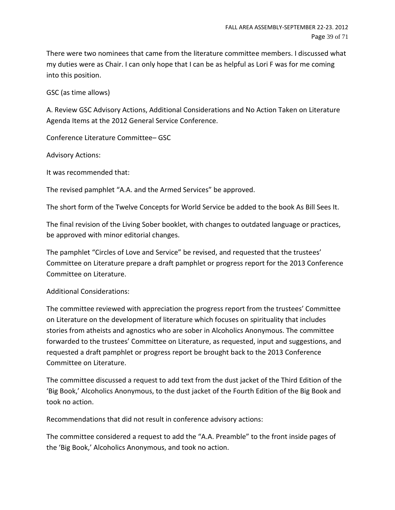There were two nominees that came from the literature committee members. I discussed what my duties were as Chair. I can only hope that I can be as helpful as Lori F was for me coming into this position.

GSC (as time allows)

A. Review GSC Advisory Actions, Additional Considerations and No Action Taken on Literature Agenda Items at the 2012 General Service Conference.

Conference Literature Committee– GSC

Advisory Actions:

It was recommended that:

The revised pamphlet "A.A. and the Armed Services" be approved.

The short form of the Twelve Concepts for World Service be added to the book As Bill Sees It.

The final revision of the Living Sober booklet, with changes to outdated language or practices, be approved with minor editorial changes.

The pamphlet "Circles of Love and Service" be revised, and requested that the trustees' Committee on Literature prepare a draft pamphlet or progress report for the 2013 Conference Committee on Literature.

#### Additional Considerations:

The committee reviewed with appreciation the progress report from the trustees' Committee on Literature on the development of literature which focuses on spirituality that includes stories from atheists and agnostics who are sober in Alcoholics Anonymous. The committee forwarded to the trustees' Committee on Literature, as requested, input and suggestions, and requested a draft pamphlet or progress report be brought back to the 2013 Conference Committee on Literature.

The committee discussed a request to add text from the dust jacket of the Third Edition of the 'Big Book,' Alcoholics Anonymous, to the dust jacket of the Fourth Edition of the Big Book and took no action.

Recommendations that did not result in conference advisory actions:

The committee considered a request to add the "A.A. Preamble" to the front inside pages of the 'Big Book,' Alcoholics Anonymous, and took no action.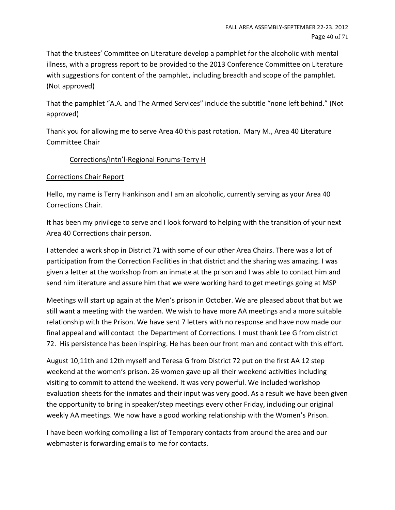That the trustees' Committee on Literature develop a pamphlet for the alcoholic with mental illness, with a progress report to be provided to the 2013 Conference Committee on Literature with suggestions for content of the pamphlet, including breadth and scope of the pamphlet. (Not approved)

That the pamphlet "A.A. and The Armed Services" include the subtitle "none left behind." (Not approved)

Thank you for allowing me to serve Area 40 this past rotation. Mary M., Area 40 Literature Committee Chair

# Corrections/Intn'l-Regional Forums-Terry H

# Corrections Chair Report

Hello, my name is Terry Hankinson and I am an alcoholic, currently serving as your Area 40 Corrections Chair.

It has been my privilege to serve and I look forward to helping with the transition of your next Area 40 Corrections chair person.

I attended a work shop in District 71 with some of our other Area Chairs. There was a lot of participation from the Correction Facilities in that district and the sharing was amazing. I was given a letter at the workshop from an inmate at the prison and I was able to contact him and send him literature and assure him that we were working hard to get meetings going at MSP

Meetings will start up again at the Men's prison in October. We are pleased about that but we still want a meeting with the warden. We wish to have more AA meetings and a more suitable relationship with the Prison. We have sent 7 letters with no response and have now made our final appeal and will contact the Department of Corrections. I must thank Lee G from district 72. His persistence has been inspiring. He has been our front man and contact with this effort.

August 10,11th and 12th myself and Teresa G from District 72 put on the first AA 12 step weekend at the women's prison. 26 women gave up all their weekend activities including visiting to commit to attend the weekend. It was very powerful. We included workshop evaluation sheets for the inmates and their input was very good. As a result we have been given the opportunity to bring in speaker/step meetings every other Friday, including our original weekly AA meetings. We now have a good working relationship with the Women's Prison.

I have been working compiling a list of Temporary contacts from around the area and our webmaster is forwarding emails to me for contacts.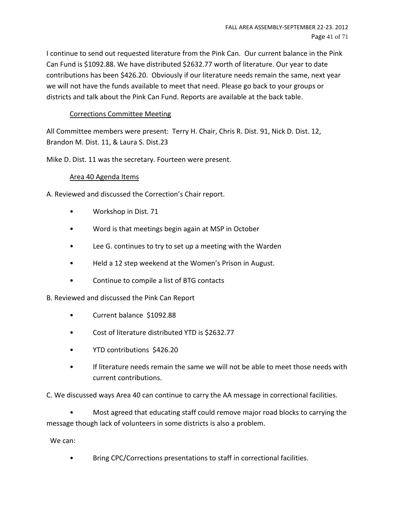I continue to send out requested literature from the Pink Can. Our current balance in the Pink Can Fund is \$1092.88. We have distributed \$2632.77 worth of literature. Our year to date contributions has been \$426.20. Obviously if our literature needs remain the same, next year we will not have the funds available to meet that need. Please go back to your groups or districts and talk about the Pink Can Fund. Reports are available at the back table.

# Corrections Committee Meeting

All Committee members were present: Terry H. Chair, Chris R. Dist. 91, Nick D. Dist. 12, Brandon M. Dist. 11, & Laura S. Dist.23

Mike D. Dist. 11 was the secretary. Fourteen were present.

#### Area 40 Agenda Items

A. Reviewed and discussed the Correction's Chair report.

- Workshop in Dist. 71
- Word is that meetings begin again at MSP in October
- Lee G. continues to try to set up a meeting with the Warden
- Held a 12 step weekend at the Women's Prison in August.
- Continue to compile a list of BTG contacts

B. Reviewed and discussed the Pink Can Report

- Current balance \$1092.88
- Cost of literature distributed YTD is \$2632.77
- YTD contributions \$426.20
- If literature needs remain the same we will not be able to meet those needs with current contributions.

C. We discussed ways Area 40 can continue to carry the AA message in correctional facilities.

• Most agreed that educating staff could remove major road blocks to carrying the message though lack of volunteers in some districts is also a problem.

We can:

• Bring CPC/Corrections presentations to staff in correctional facilities.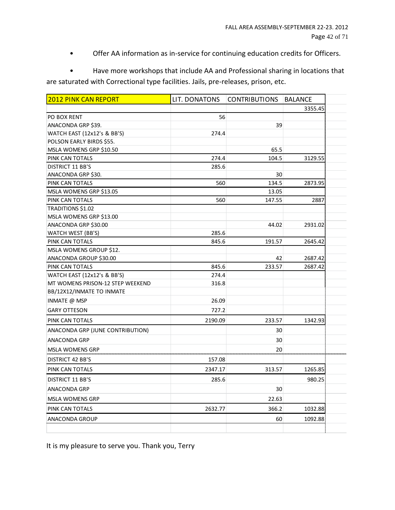• Offer AA information as in-service for continuing education credits for Officers.

• Have more workshops that include AA and Professional sharing in locations that are saturated with Correctional type facilities. Jails, pre-releases, prison, etc.

| 2012 PINK CAN REPORT             | LIT. DONATONS | <b>CONTRIBUTIONS</b> | <b>BALANCE</b> |
|----------------------------------|---------------|----------------------|----------------|
|                                  |               |                      | 3355.45        |
| PO BOX RENT                      | 56            |                      |                |
| ANACONDA GRP \$39.               |               | 39                   |                |
| WATCH EAST (12x12's & BB'S)      | 274.4         |                      |                |
| POLSON EARLY BIRDS \$55.         |               |                      |                |
| MSLA WOMENS GRP \$10.50          |               | 65.5                 |                |
| PINK CAN TOTALS                  | 274.4         | 104.5                | 3129.55        |
| DISTRICT 11 BB'S                 | 285.6         |                      |                |
| ANACONDA GRP \$30.               |               | 30                   |                |
| PINK CAN TOTALS                  | 560           | 134.5                | 2873.95        |
| MSLA WOMENS GRP \$13.05          |               | 13.05                |                |
| PINK CAN TOTALS                  | 560           | 147.55               | 2887           |
| TRADITIONS \$1.02                |               |                      |                |
| MSLA WOMENS GRP \$13.00          |               |                      |                |
| ANACONDA GRP \$30.00             |               | 44.02                | 2931.02        |
| WATCH WEST (BB'S)                | 285.6         |                      |                |
| PINK CAN TOTALS                  | 845.6         | 191.57               | 2645.42        |
| MSLA WOMENS GROUP \$12.          |               |                      |                |
| ANACONDA GROUP \$30.00           |               | 42                   | 2687.42        |
| PINK CAN TOTALS                  | 845.6         | 233.57               | 2687.42        |
| WATCH EAST (12x12's & BB'S)      | 274.4         |                      |                |
| MT WOMENS PRISON-12 STEP WEEKEND | 316.8         |                      |                |
| BB/12X12/INMATE TO INMATE        |               |                      |                |
| INMATE @ MSP                     | 26.09         |                      |                |
| <b>GARY OTTESON</b>              | 727.2         |                      |                |
| PINK CAN TOTALS                  | 2190.09       | 233.57               | 1342.93        |
| ANACONDA GRP (JUNE CONTRIBUTION) |               | 30                   |                |
| ANACONDA GRP                     |               | 30                   |                |
| <b>MSLA WOMENS GRP</b>           |               | 20                   |                |
| <b>DISTRICT 42 BB'S</b>          | 157.08        |                      |                |
| PINK CAN TOTALS                  | 2347.17       | 313.57               | 1265.85        |
| <b>DISTRICT 11 BB'S</b>          | 285.6         |                      | 980.25         |
| ANACONDA GRP                     |               | 30                   |                |
| <b>MSLA WOMENS GRP</b>           |               | 22.63                |                |
| PINK CAN TOTALS                  | 2632.77       | 366.2                | 1032.88        |
| <b>ANACONDA GROUP</b>            |               | 60                   | 1092.88        |
|                                  |               |                      |                |

It is my pleasure to serve you. Thank you, Terry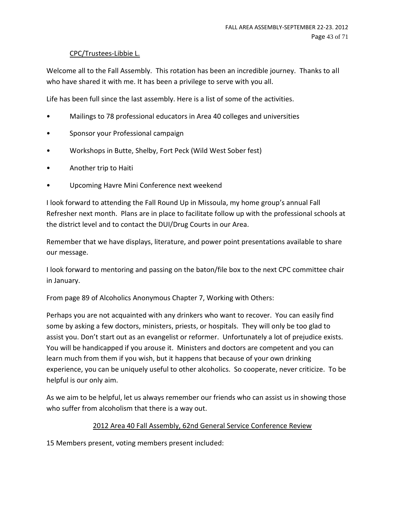# CPC/Trustees-Libbie L.

Welcome all to the Fall Assembly. This rotation has been an incredible journey. Thanks to all who have shared it with me. It has been a privilege to serve with you all.

Life has been full since the last assembly. Here is a list of some of the activities.

- Mailings to 78 professional educators in Area 40 colleges and universities
- Sponsor your Professional campaign
- Workshops in Butte, Shelby, Fort Peck (Wild West Sober fest)
- Another trip to Haiti
- Upcoming Havre Mini Conference next weekend

I look forward to attending the Fall Round Up in Missoula, my home group's annual Fall Refresher next month. Plans are in place to facilitate follow up with the professional schools at the district level and to contact the DUI/Drug Courts in our Area.

Remember that we have displays, literature, and power point presentations available to share our message.

I look forward to mentoring and passing on the baton/file box to the next CPC committee chair in January.

From page 89 of Alcoholics Anonymous Chapter 7, Working with Others:

Perhaps you are not acquainted with any drinkers who want to recover. You can easily find some by asking a few doctors, ministers, priests, or hospitals. They will only be too glad to assist you. Don't start out as an evangelist or reformer. Unfortunately a lot of prejudice exists. You will be handicapped if you arouse it. Ministers and doctors are competent and you can learn much from them if you wish, but it happens that because of your own drinking experience, you can be uniquely useful to other alcoholics. So cooperate, never criticize. To be helpful is our only aim.

As we aim to be helpful, let us always remember our friends who can assist us in showing those who suffer from alcoholism that there is a way out.

# 2012 Area 40 Fall Assembly, 62nd General Service Conference Review

15 Members present, voting members present included: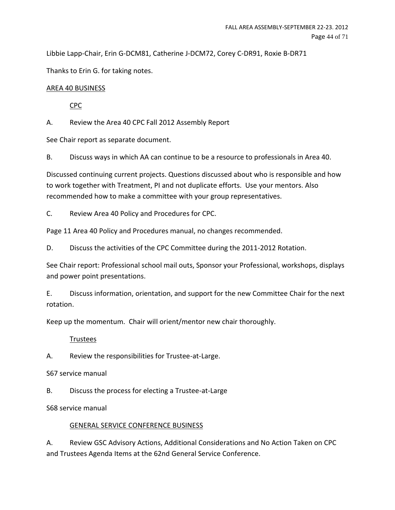Libbie Lapp-Chair, Erin G-DCM81, Catherine J-DCM72, Corey C-DR91, Roxie B-DR71

Thanks to Erin G. for taking notes.

# AREA 40 BUSINESS

CPC

A. Review the Area 40 CPC Fall 2012 Assembly Report

See Chair report as separate document.

B. Discuss ways in which AA can continue to be a resource to professionals in Area 40.

Discussed continuing current projects. Questions discussed about who is responsible and how to work together with Treatment, PI and not duplicate efforts. Use your mentors. Also recommended how to make a committee with your group representatives.

C. Review Area 40 Policy and Procedures for CPC.

Page 11 Area 40 Policy and Procedures manual, no changes recommended.

D. Discuss the activities of the CPC Committee during the 2011-2012 Rotation.

See Chair report: Professional school mail outs, Sponsor your Professional, workshops, displays and power point presentations.

E. Discuss information, orientation, and support for the new Committee Chair for the next rotation.

Keep up the momentum. Chair will orient/mentor new chair thoroughly.

# Trustees

A. Review the responsibilities for Trustee-at-Large.

S67 service manual

B. Discuss the process for electing a Trustee-at-Large

S68 service manual

# GENERAL SERVICE CONFERENCE BUSINESS

A. Review GSC Advisory Actions, Additional Considerations and No Action Taken on CPC and Trustees Agenda Items at the 62nd General Service Conference.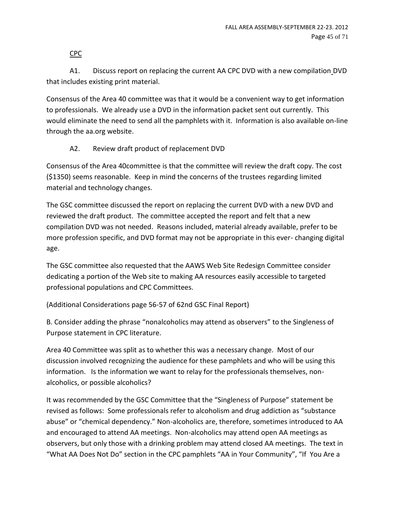CPC

A1. Discuss report on replacing the current AA CPC DVD with a new compilation DVD that includes existing print material.

Consensus of the Area 40 committee was that it would be a convenient way to get information to professionals. We already use a DVD in the information packet sent out currently. This would eliminate the need to send all the pamphlets with it. Information is also available on-line through the aa.org website.

# A2. Review draft product of replacement DVD

Consensus of the Area 40committee is that the committee will review the draft copy. The cost (\$1350) seems reasonable. Keep in mind the concerns of the trustees regarding limited material and technology changes.

The GSC committee discussed the report on replacing the current DVD with a new DVD and reviewed the draft product. The committee accepted the report and felt that a new compilation DVD was not needed. Reasons included, material already available, prefer to be more profession specific, and DVD format may not be appropriate in this ever- changing digital age.

The GSC committee also requested that the AAWS Web Site Redesign Committee consider dedicating a portion of the Web site to making AA resources easily accessible to targeted professional populations and CPC Committees.

(Additional Considerations page 56-57 of 62nd GSC Final Report)

B. Consider adding the phrase "nonalcoholics may attend as observers" to the Singleness of Purpose statement in CPC literature.

Area 40 Committee was split as to whether this was a necessary change. Most of our discussion involved recognizing the audience for these pamphlets and who will be using this information. Is the information we want to relay for the professionals themselves, nonalcoholics, or possible alcoholics?

It was recommended by the GSC Committee that the "Singleness of Purpose" statement be revised as follows: Some professionals refer to alcoholism and drug addiction as "substance abuse" or "chemical dependency." Non-alcoholics are, therefore, sometimes introduced to AA and encouraged to attend AA meetings. Non-alcoholics may attend open AA meetings as observers, but only those with a drinking problem may attend closed AA meetings. The text in "What AA Does Not Do" section in the CPC pamphlets "AA in Your Community", "If You Are a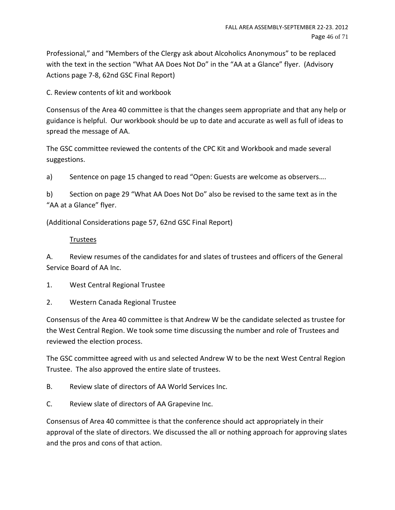Professional," and "Members of the Clergy ask about Alcoholics Anonymous" to be replaced with the text in the section "What AA Does Not Do" in the "AA at a Glance" flyer. (Advisory Actions page 7-8, 62nd GSC Final Report)

C. Review contents of kit and workbook

Consensus of the Area 40 committee is that the changes seem appropriate and that any help or guidance is helpful. Our workbook should be up to date and accurate as well as full of ideas to spread the message of AA.

The GSC committee reviewed the contents of the CPC Kit and Workbook and made several suggestions.

a) Sentence on page 15 changed to read "Open: Guests are welcome as observers….

b) Section on page 29 "What AA Does Not Do" also be revised to the same text as in the "AA at a Glance" flyer.

(Additional Considerations page 57, 62nd GSC Final Report)

#### Trustees

A. Review resumes of the candidates for and slates of trustees and officers of the General Service Board of AA Inc.

- 1. West Central Regional Trustee
- 2. Western Canada Regional Trustee

Consensus of the Area 40 committee is that Andrew W be the candidate selected as trustee for the West Central Region. We took some time discussing the number and role of Trustees and reviewed the election process.

The GSC committee agreed with us and selected Andrew W to be the next West Central Region Trustee. The also approved the entire slate of trustees.

- B. Review slate of directors of AA World Services Inc.
- C. Review slate of directors of AA Grapevine Inc.

Consensus of Area 40 committee is that the conference should act appropriately in their approval of the slate of directors. We discussed the all or nothing approach for approving slates and the pros and cons of that action.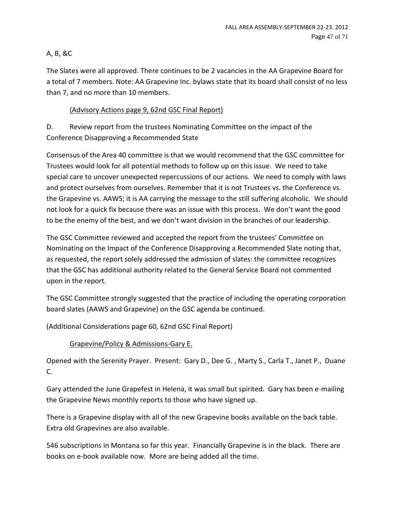# A, B, &C

The Slates were all approved. There continues to be 2 vacancies in the AA Grapevine Board for a total of 7 members. Note: AA Grapevine Inc. bylaws state that its board shall consist of no less than 7, and no more than 10 members.

# (Advisory Actions page 9, 62nd GSC Final Report)

D. Review report from the trustees Nominating Committee on the impact of the Conference Disapproving a Recommended State

Consensus of the Area 40 committee is that we would recommend that the GSC committee for Trustees would look for all potential methods to follow up on this issue. We need to take special care to uncover unexpected repercussions of our actions. We need to comply with laws and protect ourselves from ourselves. Remember that it is not Trustees vs. the Conference vs. the Grapevine vs. AAWS; it is AA carrying the message to the still suffering alcoholic. We should not look for a quick fix because there was an issue with this process. We don't want the good to be the enemy of the best, and we don't want division in the branches of our leadership.

The GSC Committee reviewed and accepted the report from the trustees' Committee on Nominating on the Impact of the Conference Disapproving a Recommended Slate noting that, as requested, the report solely addressed the admission of slates: the committee recognizes that the GSC has additional authority related to the General Service Board not commented upon in the report.

The GSC Committee strongly suggested that the practice of including the operating corporation board slates (AAWS and Grapevine) on the GSC agenda be continued.

(Additional Considerations page 60, 62nd GSC Final Report)

# Grapevine/Policy & Admissions-Gary E.

Opened with the Serenity Prayer. Present: Gary D., Dee G. , Marty S., Carla T., Janet P., Duane C.

Gary attended the June Grapefest in Helena, it was small but spirited. Gary has been e-mailing the Grapevine News monthly reports to those who have signed up.

There is a Grapevine display with all of the new Grapevine books available on the back table. Extra old Grapevines are also available.

546 subscriptions in Montana so far this year. Financially Grapevine is in the black. There are books on e-book available now. More are being added all the time.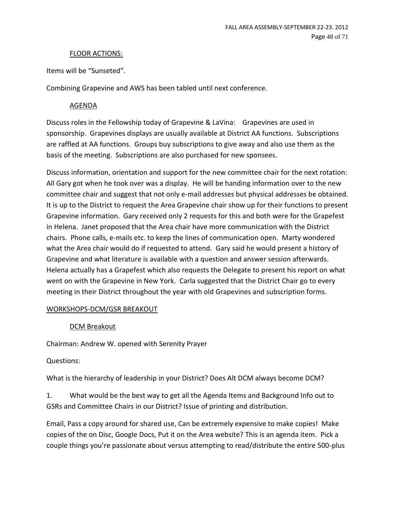#### FLOOR ACTIONS:

Items will be "Sunseted".

Combining Grapevine and AWS has been tabled until next conference.

#### AGENDA

Discuss roles in the Fellowship today of Grapevine & LaVina: Grapevines are used in sponsorship. Grapevines displays are usually available at District AA functions. Subscriptions are raffled at AA functions. Groups buy subscriptions to give away and also use them as the basis of the meeting. Subscriptions are also purchased for new sponsees.

Discuss information, orientation and support for the new committee chair for the next rotation: All Gary got when he took over was a display. He will be handing information over to the new committee chair and suggest that not only e-mail addresses but physical addresses be obtained. It is up to the District to request the Area Grapevine chair show up for their functions to present Grapevine information. Gary received only 2 requests for this and both were for the Grapefest in Helena. Janet proposed that the Area chair have more communication with the District chairs. Phone calls, e-mails etc. to keep the lines of communication open. Marty wondered what the Area chair would do if requested to attend. Gary said he would present a history of Grapevine and what literature is available with a question and answer session afterwards. Helena actually has a Grapefest which also requests the Delegate to present his report on what went on with the Grapevine in New York. Carla suggested that the District Chair go to every meeting in their District throughout the year with old Grapevines and subscription forms.

# WORKSHOPS-DCM/GSR BREAKOUT

# DCM Breakout

Chairman: Andrew W. opened with Serenity Prayer

Questions:

What is the hierarchy of leadership in your District? Does Alt DCM always become DCM?

1. What would be the best way to get all the Agenda Items and Background Info out to GSRs and Committee Chairs in our District? Issue of printing and distribution.

Email, Pass a copy around for shared use, Can be extremely expensive to make copies! Make copies of the on Disc, Google Docs, Put it on the Area website? This is an agenda item. Pick a couple things you're passionate about versus attempting to read/distribute the entire 500-plus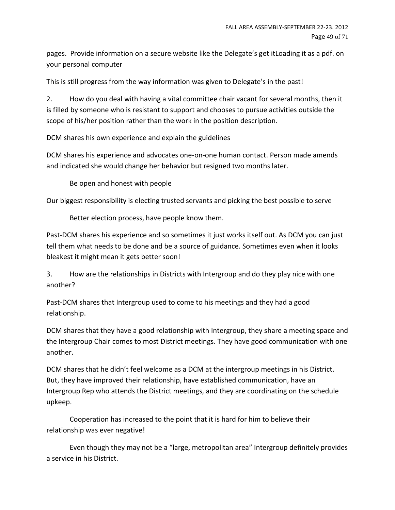pages. Provide information on a secure website like the Delegate's get itLoading it as a pdf. on your personal computer

This is still progress from the way information was given to Delegate's in the past!

2. How do you deal with having a vital committee chair vacant for several months, then it is filled by someone who is resistant to support and chooses to pursue activities outside the scope of his/her position rather than the work in the position description.

DCM shares his own experience and explain the guidelines

DCM shares his experience and advocates one-on-one human contact. Person made amends and indicated she would change her behavior but resigned two months later.

Be open and honest with people

Our biggest responsibility is electing trusted servants and picking the best possible to serve

Better election process, have people know them.

Past-DCM shares his experience and so sometimes it just works itself out. As DCM you can just tell them what needs to be done and be a source of guidance. Sometimes even when it looks bleakest it might mean it gets better soon!

3. How are the relationships in Districts with Intergroup and do they play nice with one another?

Past-DCM shares that Intergroup used to come to his meetings and they had a good relationship.

DCM shares that they have a good relationship with Intergroup, they share a meeting space and the Intergroup Chair comes to most District meetings. They have good communication with one another.

DCM shares that he didn't feel welcome as a DCM at the intergroup meetings in his District. But, they have improved their relationship, have established communication, have an Intergroup Rep who attends the District meetings, and they are coordinating on the schedule upkeep.

Cooperation has increased to the point that it is hard for him to believe their relationship was ever negative!

Even though they may not be a "large, metropolitan area" Intergroup definitely provides a service in his District.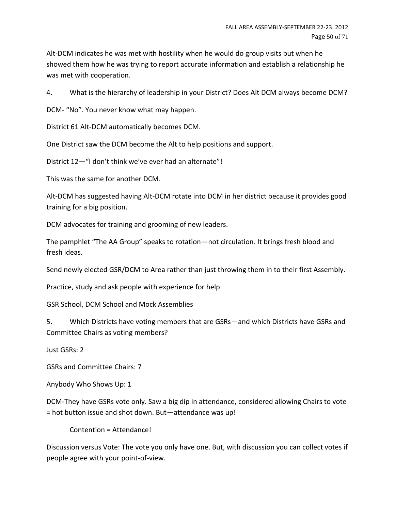Alt-DCM indicates he was met with hostility when he would do group visits but when he showed them how he was trying to report accurate information and establish a relationship he was met with cooperation.

4. What is the hierarchy of leadership in your District? Does Alt DCM always become DCM?

DCM- "No". You never know what may happen.

District 61 Alt-DCM automatically becomes DCM.

One District saw the DCM become the Alt to help positions and support.

District 12—"I don't think we've ever had an alternate"!

This was the same for another DCM.

Alt-DCM has suggested having Alt-DCM rotate into DCM in her district because it provides good training for a big position.

DCM advocates for training and grooming of new leaders.

The pamphlet "The AA Group" speaks to rotation—not circulation. It brings fresh blood and fresh ideas.

Send newly elected GSR/DCM to Area rather than just throwing them in to their first Assembly.

Practice, study and ask people with experience for help

GSR School, DCM School and Mock Assemblies

5. Which Districts have voting members that are GSRs—and which Districts have GSRs and Committee Chairs as voting members?

Just GSRs: 2

GSRs and Committee Chairs: 7

Anybody Who Shows Up: 1

DCM-They have GSRs vote only. Saw a big dip in attendance, considered allowing Chairs to vote = hot button issue and shot down. But—attendance was up!

Contention = Attendance!

Discussion versus Vote: The vote you only have one. But, with discussion you can collect votes if people agree with your point-of-view.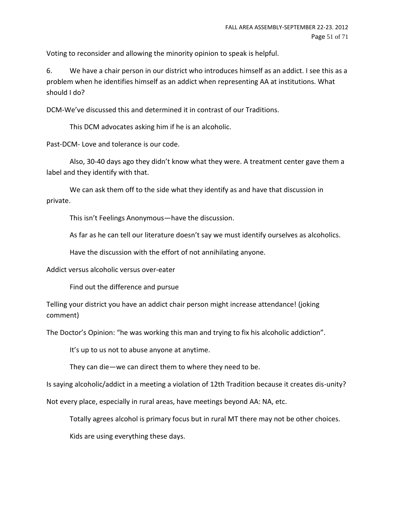Voting to reconsider and allowing the minority opinion to speak is helpful.

6. We have a chair person in our district who introduces himself as an addict. I see this as a problem when he identifies himself as an addict when representing AA at institutions. What should I do?

DCM-We've discussed this and determined it in contrast of our Traditions.

This DCM advocates asking him if he is an alcoholic.

Past-DCM- Love and tolerance is our code.

Also, 30-40 days ago they didn't know what they were. A treatment center gave them a label and they identify with that.

We can ask them off to the side what they identify as and have that discussion in private.

This isn't Feelings Anonymous—have the discussion.

As far as he can tell our literature doesn't say we must identify ourselves as alcoholics.

Have the discussion with the effort of not annihilating anyone.

Addict versus alcoholic versus over-eater

Find out the difference and pursue

Telling your district you have an addict chair person might increase attendance! (joking comment)

The Doctor's Opinion: "he was working this man and trying to fix his alcoholic addiction".

It's up to us not to abuse anyone at anytime.

They can die—we can direct them to where they need to be.

Is saying alcoholic/addict in a meeting a violation of 12th Tradition because it creates dis-unity?

Not every place, especially in rural areas, have meetings beyond AA: NA, etc.

Totally agrees alcohol is primary focus but in rural MT there may not be other choices.

Kids are using everything these days.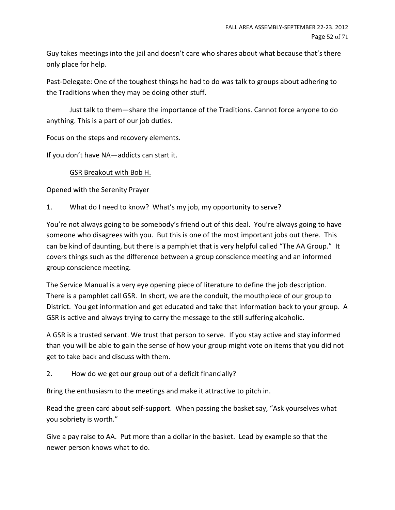Guy takes meetings into the jail and doesn't care who shares about what because that's there only place for help.

Past-Delegate: One of the toughest things he had to do was talk to groups about adhering to the Traditions when they may be doing other stuff.

Just talk to them—share the importance of the Traditions. Cannot force anyone to do anything. This is a part of our job duties.

Focus on the steps and recovery elements.

If you don't have NA—addicts can start it.

# GSR Breakout with Bob H.

Opened with the Serenity Prayer

1. What do I need to know? What's my job, my opportunity to serve?

You're not always going to be somebody's friend out of this deal. You're always going to have someone who disagrees with you. But this is one of the most important jobs out there. This can be kind of daunting, but there is a pamphlet that is very helpful called "The AA Group." It covers things such as the difference between a group conscience meeting and an informed group conscience meeting.

The Service Manual is a very eye opening piece of literature to define the job description. There is a pamphlet call GSR. In short, we are the conduit, the mouthpiece of our group to District. You get information and get educated and take that information back to your group. A GSR is active and always trying to carry the message to the still suffering alcoholic.

A GSR is a trusted servant. We trust that person to serve. If you stay active and stay informed than you will be able to gain the sense of how your group might vote on items that you did not get to take back and discuss with them.

2. How do we get our group out of a deficit financially?

Bring the enthusiasm to the meetings and make it attractive to pitch in.

Read the green card about self-support. When passing the basket say, "Ask yourselves what you sobriety is worth."

Give a pay raise to AA. Put more than a dollar in the basket. Lead by example so that the newer person knows what to do.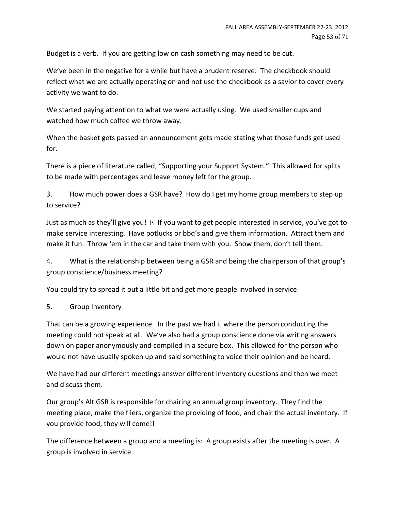Budget is a verb. If you are getting low on cash something may need to be cut.

We've been in the negative for a while but have a prudent reserve. The checkbook should reflect what we are actually operating on and not use the checkbook as a savior to cover every activity we want to do.

We started paying attention to what we were actually using. We used smaller cups and watched how much coffee we throw away.

When the basket gets passed an announcement gets made stating what those funds get used for.

There is a piece of literature called, "Supporting your Support System." This allowed for splits to be made with percentages and leave money left for the group.

3. How much power does a GSR have? How do I get my home group members to step up to service?

Just as much as they'll give you! all f you want to get people interested in service, you've got to make service interesting. Have potlucks or bbq's and give them information. Attract them and make it fun. Throw 'em in the car and take them with you. Show them, don't tell them.

4. What is the relationship between being a GSR and being the chairperson of that group's group conscience/business meeting?

You could try to spread it out a little bit and get more people involved in service.

# 5. Group Inventory

That can be a growing experience. In the past we had it where the person conducting the meeting could not speak at all. We've also had a group conscience done via writing answers down on paper anonymously and compiled in a secure box. This allowed for the person who would not have usually spoken up and said something to voice their opinion and be heard.

We have had our different meetings answer different inventory questions and then we meet and discuss them.

Our group's Alt GSR is responsible for chairing an annual group inventory. They find the meeting place, make the fliers, organize the providing of food, and chair the actual inventory. If you provide food, they will come!!

The difference between a group and a meeting is: A group exists after the meeting is over. A group is involved in service.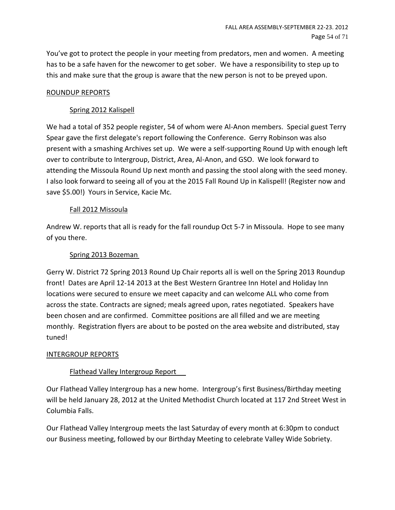You've got to protect the people in your meeting from predators, men and women. A meeting has to be a safe haven for the newcomer to get sober. We have a responsibility to step up to this and make sure that the group is aware that the new person is not to be preyed upon.

# ROUNDUP REPORTS

# Spring 2012 Kalispell

We had a total of 352 people register, 54 of whom were Al-Anon members. Special guest Terry Spear gave the first delegate's report following the Conference. Gerry Robinson was also present with a smashing Archives set up. We were a self-supporting Round Up with enough left over to contribute to Intergroup, District, Area, Al-Anon, and GSO. We look forward to attending the Missoula Round Up next month and passing the stool along with the seed money. I also look forward to seeing all of you at the 2015 Fall Round Up in Kalispell! (Register now and save \$5.00!) Yours in Service, Kacie Mc.

# Fall 2012 Missoula

Andrew W. reports that all is ready for the fall roundup Oct 5-7 in Missoula. Hope to see many of you there.

#### Spring 2013 Bozeman

Gerry W. District 72 Spring 2013 Round Up Chair reports all is well on the Spring 2013 Roundup front! Dates are April 12-14 2013 at the Best Western Grantree Inn Hotel and Holiday Inn locations were secured to ensure we meet capacity and can welcome ALL who come from across the state. Contracts are signed; meals agreed upon, rates negotiated. Speakers have been chosen and are confirmed. Committee positions are all filled and we are meeting monthly. Registration flyers are about to be posted on the area website and distributed, stay tuned!

#### INTERGROUP REPORTS

# Flathead Valley Intergroup Report

Our Flathead Valley Intergroup has a new home. Intergroup's first Business/Birthday meeting will be held January 28, 2012 at the United Methodist Church located at 117 2nd Street West in Columbia Falls.

Our Flathead Valley Intergroup meets the last Saturday of every month at 6:30pm to conduct our Business meeting, followed by our Birthday Meeting to celebrate Valley Wide Sobriety.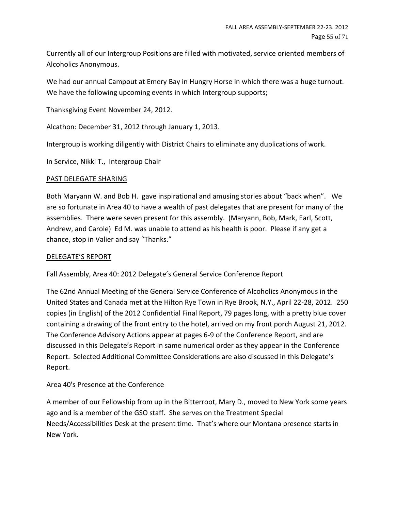Currently all of our Intergroup Positions are filled with motivated, service oriented members of Alcoholics Anonymous.

We had our annual Campout at Emery Bay in Hungry Horse in which there was a huge turnout. We have the following upcoming events in which Intergroup supports;

Thanksgiving Event November 24, 2012.

Alcathon: December 31, 2012 through January 1, 2013.

Intergroup is working diligently with District Chairs to eliminate any duplications of work.

In Service, Nikki T., Intergroup Chair

#### PAST DELEGATE SHARING

Both Maryann W. and Bob H. gave inspirational and amusing stories about "back when". We are so fortunate in Area 40 to have a wealth of past delegates that are present for many of the assemblies. There were seven present for this assembly. (Maryann, Bob, Mark, Earl, Scott, Andrew, and Carole) Ed M. was unable to attend as his health is poor. Please if any get a chance, stop in Valier and say "Thanks."

#### DELEGATE'S REPORT

Fall Assembly, Area 40: 2012 Delegate's General Service Conference Report

The 62nd Annual Meeting of the General Service Conference of Alcoholics Anonymous in the United States and Canada met at the Hilton Rye Town in Rye Brook, N.Y., April 22-28, 2012. 250 copies (in English) of the 2012 Confidential Final Report, 79 pages long, with a pretty blue cover containing a drawing of the front entry to the hotel, arrived on my front porch August 21, 2012. The Conference Advisory Actions appear at pages 6-9 of the Conference Report, and are discussed in this Delegate's Report in same numerical order as they appear in the Conference Report. Selected Additional Committee Considerations are also discussed in this Delegate's Report.

Area 40's Presence at the Conference

A member of our Fellowship from up in the Bitterroot, Mary D., moved to New York some years ago and is a member of the GSO staff. She serves on the Treatment Special Needs/Accessibilities Desk at the present time. That's where our Montana presence starts in New York.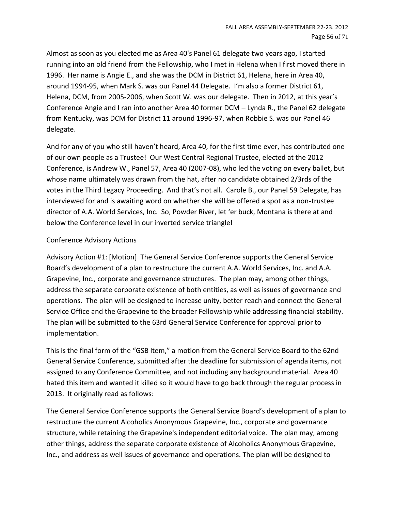Almost as soon as you elected me as Area 40's Panel 61 delegate two years ago, I started running into an old friend from the Fellowship, who I met in Helena when I first moved there in 1996. Her name is Angie E., and she was the DCM in District 61, Helena, here in Area 40, around 1994-95, when Mark S. was our Panel 44 Delegate. I'm also a former District 61, Helena, DCM, from 2005-2006, when Scott W. was our delegate. Then in 2012, at this year's Conference Angie and I ran into another Area 40 former DCM – Lynda R., the Panel 62 delegate from Kentucky, was DCM for District 11 around 1996-97, when Robbie S. was our Panel 46 delegate.

And for any of you who still haven't heard, Area 40, for the first time ever, has contributed one of our own people as a Trustee! Our West Central Regional Trustee, elected at the 2012 Conference, is Andrew W., Panel 57, Area 40 (2007-08), who led the voting on every ballet, but whose name ultimately was drawn from the hat, after no candidate obtained 2/3rds of the votes in the Third Legacy Proceeding. And that's not all. Carole B., our Panel 59 Delegate, has interviewed for and is awaiting word on whether she will be offered a spot as a non-trustee director of A.A. World Services, Inc. So, Powder River, let 'er buck, Montana is there at and below the Conference level in our inverted service triangle!

#### Conference Advisory Actions

Advisory Action #1: [Motion] The General Service Conference supports the General Service Board's development of a plan to restructure the current A.A. World Services, Inc. and A.A. Grapevine, Inc., corporate and governance structures. The plan may, among other things, address the separate corporate existence of both entities, as well as issues of governance and operations. The plan will be designed to increase unity, better reach and connect the General Service Office and the Grapevine to the broader Fellowship while addressing financial stability. The plan will be submitted to the 63rd General Service Conference for approval prior to implementation.

This is the final form of the "GSB Item," a motion from the General Service Board to the 62nd General Service Conference, submitted after the deadline for submission of agenda items, not assigned to any Conference Committee, and not including any background material. Area 40 hated this item and wanted it killed so it would have to go back through the regular process in 2013. It originally read as follows:

The General Service Conference supports the General Service Board's development of a plan to restructure the current Alcoholics Anonymous Grapevine, Inc., corporate and governance structure, while retaining the Grapevine's independent editorial voice. The plan may, among other things, address the separate corporate existence of Alcoholics Anonymous Grapevine, Inc., and address as well issues of governance and operations. The plan will be designed to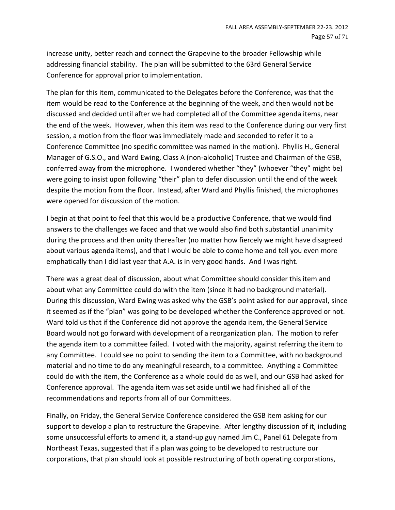increase unity, better reach and connect the Grapevine to the broader Fellowship while addressing financial stability. The plan will be submitted to the 63rd General Service Conference for approval prior to implementation.

The plan for this item, communicated to the Delegates before the Conference, was that the item would be read to the Conference at the beginning of the week, and then would not be discussed and decided until after we had completed all of the Committee agenda items, near the end of the week. However, when this item was read to the Conference during our very first session, a motion from the floor was immediately made and seconded to refer it to a Conference Committee (no specific committee was named in the motion). Phyllis H., General Manager of G.S.O., and Ward Ewing, Class A (non-alcoholic) Trustee and Chairman of the GSB, conferred away from the microphone. I wondered whether "they" (whoever "they" might be) were going to insist upon following "their" plan to defer discussion until the end of the week despite the motion from the floor. Instead, after Ward and Phyllis finished, the microphones were opened for discussion of the motion.

I begin at that point to feel that this would be a productive Conference, that we would find answers to the challenges we faced and that we would also find both substantial unanimity during the process and then unity thereafter (no matter how fiercely we might have disagreed about various agenda items), and that I would be able to come home and tell you even more emphatically than I did last year that A.A. is in very good hands. And I was right.

There was a great deal of discussion, about what Committee should consider this item and about what any Committee could do with the item (since it had no background material). During this discussion, Ward Ewing was asked why the GSB's point asked for our approval, since it seemed as if the "plan" was going to be developed whether the Conference approved or not. Ward told us that if the Conference did not approve the agenda item, the General Service Board would not go forward with development of a reorganization plan. The motion to refer the agenda item to a committee failed. I voted with the majority, against referring the item to any Committee. I could see no point to sending the item to a Committee, with no background material and no time to do any meaningful research, to a committee. Anything a Committee could do with the item, the Conference as a whole could do as well, and our GSB had asked for Conference approval. The agenda item was set aside until we had finished all of the recommendations and reports from all of our Committees.

Finally, on Friday, the General Service Conference considered the GSB item asking for our support to develop a plan to restructure the Grapevine. After lengthy discussion of it, including some unsuccessful efforts to amend it, a stand-up guy named Jim C., Panel 61 Delegate from Northeast Texas, suggested that if a plan was going to be developed to restructure our corporations, that plan should look at possible restructuring of both operating corporations,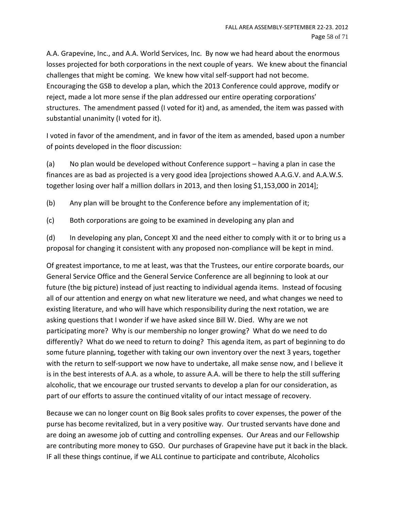A.A. Grapevine, Inc., and A.A. World Services, Inc. By now we had heard about the enormous losses projected for both corporations in the next couple of years. We knew about the financial challenges that might be coming. We knew how vital self-support had not become. Encouraging the GSB to develop a plan, which the 2013 Conference could approve, modify or reject, made a lot more sense if the plan addressed our entire operating corporations' structures. The amendment passed (I voted for it) and, as amended, the item was passed with substantial unanimity (I voted for it).

I voted in favor of the amendment, and in favor of the item as amended, based upon a number of points developed in the floor discussion:

(a) No plan would be developed without Conference support – having a plan in case the finances are as bad as projected is a very good idea [projections showed A.A.G.V. and A.A.W.S. together losing over half a million dollars in 2013, and then losing \$1,153,000 in 2014];

(b) Any plan will be brought to the Conference before any implementation of it;

(c) Both corporations are going to be examined in developing any plan and

(d) In developing any plan, Concept XI and the need either to comply with it or to bring us a proposal for changing it consistent with any proposed non-compliance will be kept in mind.

Of greatest importance, to me at least, was that the Trustees, our entire corporate boards, our General Service Office and the General Service Conference are all beginning to look at our future (the big picture) instead of just reacting to individual agenda items. Instead of focusing all of our attention and energy on what new literature we need, and what changes we need to existing literature, and who will have which responsibility during the next rotation, we are asking questions that I wonder if we have asked since Bill W. Died. Why are we not participating more? Why is our membership no longer growing? What do we need to do differently? What do we need to return to doing? This agenda item, as part of beginning to do some future planning, together with taking our own inventory over the next 3 years, together with the return to self-support we now have to undertake, all make sense now, and I believe it is in the best interests of A.A. as a whole, to assure A.A. will be there to help the still suffering alcoholic, that we encourage our trusted servants to develop a plan for our consideration, as part of our efforts to assure the continued vitality of our intact message of recovery.

Because we can no longer count on Big Book sales profits to cover expenses, the power of the purse has become revitalized, but in a very positive way. Our trusted servants have done and are doing an awesome job of cutting and controlling expenses. Our Areas and our Fellowship are contributing more money to GSO. Our purchases of Grapevine have put it back in the black. IF all these things continue, if we ALL continue to participate and contribute, Alcoholics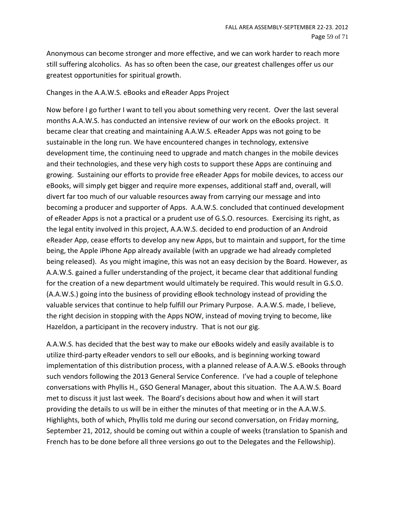Anonymous can become stronger and more effective, and we can work harder to reach more still suffering alcoholics. As has so often been the case, our greatest challenges offer us our greatest opportunities for spiritual growth.

#### Changes in the A.A.W.S. eBooks and eReader Apps Project

Now before I go further I want to tell you about something very recent. Over the last several months A.A.W.S. has conducted an intensive review of our work on the eBooks project. It became clear that creating and maintaining A.A.W.S. eReader Apps was not going to be sustainable in the long run. We have encountered changes in technology, extensive development time, the continuing need to upgrade and match changes in the mobile devices and their technologies, and these very high costs to support these Apps are continuing and growing. Sustaining our efforts to provide free eReader Apps for mobile devices, to access our eBooks, will simply get bigger and require more expenses, additional staff and, overall, will divert far too much of our valuable resources away from carrying our message and into becoming a producer and supporter of Apps. A.A.W.S. concluded that continued development of eReader Apps is not a practical or a prudent use of G.S.O. resources. Exercising its right, as the legal entity involved in this project, A.A.W.S. decided to end production of an Android eReader App, cease efforts to develop any new Apps, but to maintain and support, for the time being, the Apple iPhone App already available (with an upgrade we had already completed being released). As you might imagine, this was not an easy decision by the Board. However, as A.A.W.S. gained a fuller understanding of the project, it became clear that additional funding for the creation of a new department would ultimately be required. This would result in G.S.O. (A.A.W.S.) going into the business of providing eBook technology instead of providing the valuable services that continue to help fulfill our Primary Purpose. A.A.W.S. made, I believe, the right decision in stopping with the Apps NOW, instead of moving trying to become, like Hazeldon, a participant in the recovery industry. That is not our gig.

A.A.W.S. has decided that the best way to make our eBooks widely and easily available is to utilize third-party eReader vendors to sell our eBooks, and is beginning working toward implementation of this distribution process, with a planned release of A.A.W.S. eBooks through such vendors following the 2013 General Service Conference. I've had a couple of telephone conversations with Phyllis H., GSO General Manager, about this situation. The A.A.W.S. Board met to discuss it just last week. The Board's decisions about how and when it will start providing the details to us will be in either the minutes of that meeting or in the A.A.W.S. Highlights, both of which, Phyllis told me during our second conversation, on Friday morning, September 21, 2012, should be coming out within a couple of weeks (translation to Spanish and French has to be done before all three versions go out to the Delegates and the Fellowship).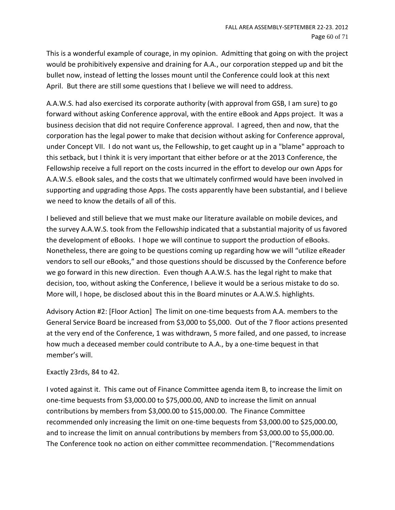This is a wonderful example of courage, in my opinion. Admitting that going on with the project would be prohibitively expensive and draining for A.A., our corporation stepped up and bit the bullet now, instead of letting the losses mount until the Conference could look at this next April. But there are still some questions that I believe we will need to address.

A.A.W.S. had also exercised its corporate authority (with approval from GSB, I am sure) to go forward without asking Conference approval, with the entire eBook and Apps project. It was a business decision that did not require Conference approval. I agreed, then and now, that the corporation has the legal power to make that decision without asking for Conference approval, under Concept VII. I do not want us, the Fellowship, to get caught up in a "blame" approach to this setback, but I think it is very important that either before or at the 2013 Conference, the Fellowship receive a full report on the costs incurred in the effort to develop our own Apps for A.A.W.S. eBook sales, and the costs that we ultimately confirmed would have been involved in supporting and upgrading those Apps. The costs apparently have been substantial, and I believe we need to know the details of all of this.

I believed and still believe that we must make our literature available on mobile devices, and the survey A.A.W.S. took from the Fellowship indicated that a substantial majority of us favored the development of eBooks. I hope we will continue to support the production of eBooks. Nonetheless, there are going to be questions coming up regarding how we will "utilize eReader vendors to sell our eBooks," and those questions should be discussed by the Conference before we go forward in this new direction. Even though A.A.W.S. has the legal right to make that decision, too, without asking the Conference, I believe it would be a serious mistake to do so. More will, I hope, be disclosed about this in the Board minutes or A.A.W.S. highlights.

Advisory Action #2: [Floor Action] The limit on one-time bequests from A.A. members to the General Service Board be increased from \$3,000 to \$5,000. Out of the 7 floor actions presented at the very end of the Conference, 1 was withdrawn, 5 more failed, and one passed, to increase how much a deceased member could contribute to A.A., by a one-time bequest in that member's will.

#### Exactly 23rds, 84 to 42.

I voted against it. This came out of Finance Committee agenda item B, to increase the limit on one-time bequests from \$3,000.00 to \$75,000.00, AND to increase the limit on annual contributions by members from \$3,000.00 to \$15,000.00. The Finance Committee recommended only increasing the limit on one-time bequests from \$3,000.00 to \$25,000.00, and to increase the limit on annual contributions by members from \$3,000.00 to \$5,000.00. The Conference took no action on either committee recommendation. ["Recommendations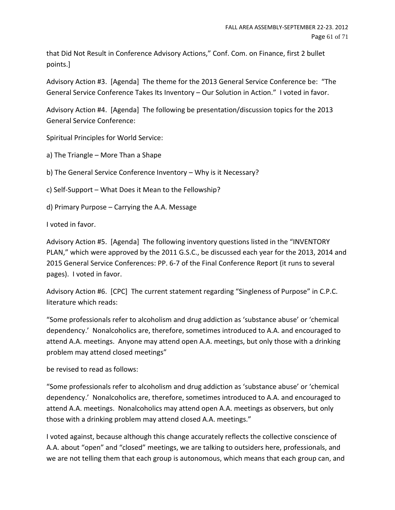that Did Not Result in Conference Advisory Actions," Conf. Com. on Finance, first 2 bullet points.]

Advisory Action #3. [Agenda] The theme for the 2013 General Service Conference be: "The General Service Conference Takes Its Inventory – Our Solution in Action." I voted in favor.

Advisory Action #4. [Agenda] The following be presentation/discussion topics for the 2013 General Service Conference:

Spiritual Principles for World Service:

a) The Triangle – More Than a Shape

b) The General Service Conference Inventory – Why is it Necessary?

c) Self-Support – What Does it Mean to the Fellowship?

d) Primary Purpose – Carrying the A.A. Message

I voted in favor.

Advisory Action #5. [Agenda] The following inventory questions listed in the "INVENTORY PLAN," which were approved by the 2011 G.S.C., be discussed each year for the 2013, 2014 and 2015 General Service Conferences: PP. 6-7 of the Final Conference Report (it runs to several pages). I voted in favor.

Advisory Action #6. [CPC] The current statement regarding "Singleness of Purpose" in C.P.C. literature which reads:

"Some professionals refer to alcoholism and drug addiction as 'substance abuse' or 'chemical dependency.' Nonalcoholics are, therefore, sometimes introduced to A.A. and encouraged to attend A.A. meetings. Anyone may attend open A.A. meetings, but only those with a drinking problem may attend closed meetings"

be revised to read as follows:

"Some professionals refer to alcoholism and drug addiction as 'substance abuse' or 'chemical dependency.' Nonalcoholics are, therefore, sometimes introduced to A.A. and encouraged to attend A.A. meetings. Nonalcoholics may attend open A.A. meetings as observers, but only those with a drinking problem may attend closed A.A. meetings."

I voted against, because although this change accurately reflects the collective conscience of A.A. about "open" and "closed" meetings, we are talking to outsiders here, professionals, and we are not telling them that each group is autonomous, which means that each group can, and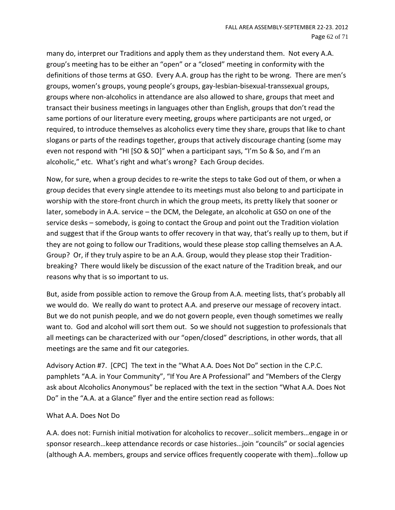many do, interpret our Traditions and apply them as they understand them. Not every A.A. group's meeting has to be either an "open" or a "closed" meeting in conformity with the definitions of those terms at GSO. Every A.A. group has the right to be wrong. There are men's groups, women's groups, young people's groups, gay-lesbian-bisexual-transsexual groups, groups where non-alcoholics in attendance are also allowed to share, groups that meet and transact their business meetings in languages other than English, groups that don't read the same portions of our literature every meeting, groups where participants are not urged, or required, to introduce themselves as alcoholics every time they share, groups that like to chant slogans or parts of the readings together, groups that actively discourage chanting (some may even not respond with "HI [SO & SO]" when a participant says, "I'm So & So, and I'm an alcoholic," etc. What's right and what's wrong? Each Group decides.

Now, for sure, when a group decides to re-write the steps to take God out of them, or when a group decides that every single attendee to its meetings must also belong to and participate in worship with the store-front church in which the group meets, its pretty likely that sooner or later, somebody in A.A. service – the DCM, the Delegate, an alcoholic at GSO on one of the service desks – somebody, is going to contact the Group and point out the Tradition violation and suggest that if the Group wants to offer recovery in that way, that's really up to them, but if they are not going to follow our Traditions, would these please stop calling themselves an A.A. Group? Or, if they truly aspire to be an A.A. Group, would they please stop their Traditionbreaking? There would likely be discussion of the exact nature of the Tradition break, and our reasons why that is so important to us.

But, aside from possible action to remove the Group from A.A. meeting lists, that's probably all we would do. We really do want to protect A.A. and preserve our message of recovery intact. But we do not punish people, and we do not govern people, even though sometimes we really want to. God and alcohol will sort them out. So we should not suggestion to professionals that all meetings can be characterized with our "open/closed" descriptions, in other words, that all meetings are the same and fit our categories.

Advisory Action #7. [CPC] The text in the "What A.A. Does Not Do" section in the C.P.C. pamphlets "A.A. in Your Community", "If You Are A Professional" and "Members of the Clergy ask about Alcoholics Anonymous" be replaced with the text in the section "What A.A. Does Not Do" in the "A.A. at a Glance" flyer and the entire section read as follows:

#### What A.A. Does Not Do

A.A. does not: Furnish initial motivation for alcoholics to recover…solicit members…engage in or sponsor research…keep attendance records or case histories…join "councils" or social agencies (although A.A. members, groups and service offices frequently cooperate with them)…follow up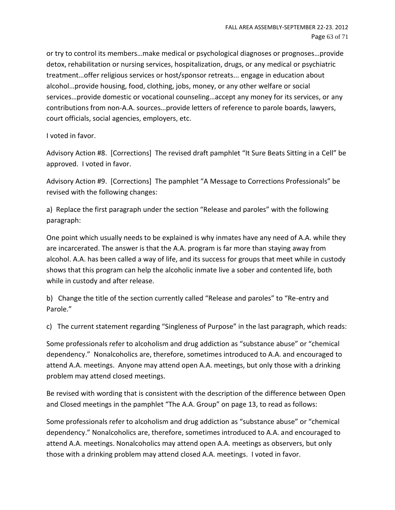or try to control its members…make medical or psychological diagnoses or prognoses…provide detox, rehabilitation or nursing services, hospitalization, drugs, or any medical or psychiatric treatment…offer religious services or host/sponsor retreats... engage in education about alcohol…provide housing, food, clothing, jobs, money, or any other welfare or social services…provide domestic or vocational counseling…accept any money for its services, or any contributions from non-A.A. sources…provide letters of reference to parole boards, lawyers, court officials, social agencies, employers, etc.

I voted in favor.

Advisory Action #8. [Corrections] The revised draft pamphlet "It Sure Beats Sitting in a Cell" be approved. I voted in favor.

Advisory Action #9. [Corrections] The pamphlet "A Message to Corrections Professionals" be revised with the following changes:

a) Replace the first paragraph under the section "Release and paroles" with the following paragraph:

One point which usually needs to be explained is why inmates have any need of A.A. while they are incarcerated. The answer is that the A.A. program is far more than staying away from alcohol. A.A. has been called a way of life, and its success for groups that meet while in custody shows that this program can help the alcoholic inmate live a sober and contented life, both while in custody and after release.

b) Change the title of the section currently called "Release and paroles" to "Re-entry and Parole."

c) The current statement regarding "Singleness of Purpose" in the last paragraph, which reads:

Some professionals refer to alcoholism and drug addiction as "substance abuse" or "chemical dependency." Nonalcoholics are, therefore, sometimes introduced to A.A. and encouraged to attend A.A. meetings. Anyone may attend open A.A. meetings, but only those with a drinking problem may attend closed meetings.

Be revised with wording that is consistent with the description of the difference between Open and Closed meetings in the pamphlet "The A.A. Group" on page 13, to read as follows:

Some professionals refer to alcoholism and drug addiction as "substance abuse" or "chemical dependency." Nonalcoholics are, therefore, sometimes introduced to A.A. and encouraged to attend A.A. meetings. Nonalcoholics may attend open A.A. meetings as observers, but only those with a drinking problem may attend closed A.A. meetings. I voted in favor.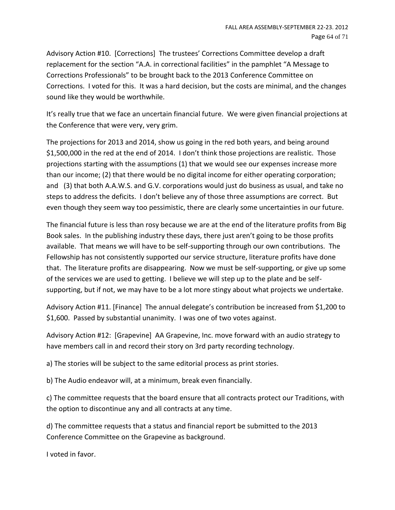Advisory Action #10. [Corrections] The trustees' Corrections Committee develop a draft replacement for the section "A.A. in correctional facilities" in the pamphlet "A Message to Corrections Professionals" to be brought back to the 2013 Conference Committee on Corrections. I voted for this. It was a hard decision, but the costs are minimal, and the changes sound like they would be worthwhile.

It's really true that we face an uncertain financial future. We were given financial projections at the Conference that were very, very grim.

The projections for 2013 and 2014, show us going in the red both years, and being around \$1,500,000 in the red at the end of 2014. I don't think those projections are realistic. Those projections starting with the assumptions (1) that we would see our expenses increase more than our income; (2) that there would be no digital income for either operating corporation; and (3) that both A.A.W.S. and G.V. corporations would just do business as usual, and take no steps to address the deficits. I don't believe any of those three assumptions are correct. But even though they seem way too pessimistic, there are clearly some uncertainties in our future.

The financial future is less than rosy because we are at the end of the literature profits from Big Book sales. In the publishing industry these days, there just aren't going to be those profits available. That means we will have to be self-supporting through our own contributions. The Fellowship has not consistently supported our service structure, literature profits have done that. The literature profits are disappearing. Now we must be self-supporting, or give up some of the services we are used to getting. I believe we will step up to the plate and be selfsupporting, but if not, we may have to be a lot more stingy about what projects we undertake.

Advisory Action #11. [Finance] The annual delegate's contribution be increased from \$1,200 to \$1,600. Passed by substantial unanimity. I was one of two votes against.

Advisory Action #12: [Grapevine] AA Grapevine, Inc. move forward with an audio strategy to have members call in and record their story on 3rd party recording technology.

a) The stories will be subject to the same editorial process as print stories.

b) The Audio endeavor will, at a minimum, break even financially.

c) The committee requests that the board ensure that all contracts protect our Traditions, with the option to discontinue any and all contracts at any time.

d) The committee requests that a status and financial report be submitted to the 2013 Conference Committee on the Grapevine as background.

I voted in favor.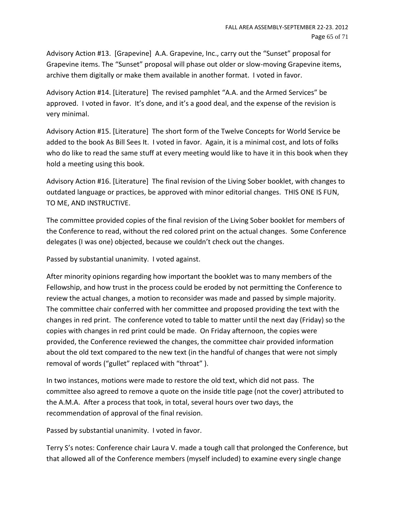Advisory Action #13. [Grapevine] A.A. Grapevine, Inc., carry out the "Sunset" proposal for Grapevine items. The "Sunset" proposal will phase out older or slow-moving Grapevine items, archive them digitally or make them available in another format. I voted in favor.

Advisory Action #14. [Literature] The revised pamphlet "A.A. and the Armed Services" be approved. I voted in favor. It's done, and it's a good deal, and the expense of the revision is very minimal.

Advisory Action #15. [Literature] The short form of the Twelve Concepts for World Service be added to the book As Bill Sees It. I voted in favor. Again, it is a minimal cost, and lots of folks who do like to read the same stuff at every meeting would like to have it in this book when they hold a meeting using this book.

Advisory Action #16. [Literature] The final revision of the Living Sober booklet, with changes to outdated language or practices, be approved with minor editorial changes. THIS ONE IS FUN, TO ME, AND INSTRUCTIVE.

The committee provided copies of the final revision of the Living Sober booklet for members of the Conference to read, without the red colored print on the actual changes. Some Conference delegates (I was one) objected, because we couldn't check out the changes.

Passed by substantial unanimity. I voted against.

After minority opinions regarding how important the booklet was to many members of the Fellowship, and how trust in the process could be eroded by not permitting the Conference to review the actual changes, a motion to reconsider was made and passed by simple majority. The committee chair conferred with her committee and proposed providing the text with the changes in red print. The conference voted to table to matter until the next day (Friday) so the copies with changes in red print could be made. On Friday afternoon, the copies were provided, the Conference reviewed the changes, the committee chair provided information about the old text compared to the new text (in the handful of changes that were not simply removal of words ("gullet" replaced with "throat" ).

In two instances, motions were made to restore the old text, which did not pass. The committee also agreed to remove a quote on the inside title page (not the cover) attributed to the A.M.A. After a process that took, in total, several hours over two days, the recommendation of approval of the final revision.

Passed by substantial unanimity. I voted in favor.

Terry S's notes: Conference chair Laura V. made a tough call that prolonged the Conference, but that allowed all of the Conference members (myself included) to examine every single change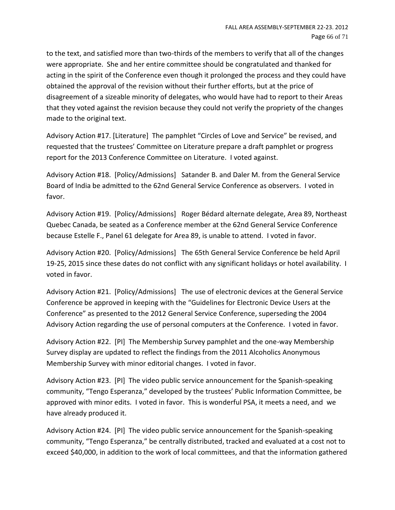to the text, and satisfied more than two-thirds of the members to verify that all of the changes were appropriate. She and her entire committee should be congratulated and thanked for acting in the spirit of the Conference even though it prolonged the process and they could have obtained the approval of the revision without their further efforts, but at the price of disagreement of a sizeable minority of delegates, who would have had to report to their Areas that they voted against the revision because they could not verify the propriety of the changes made to the original text.

Advisory Action #17. [Literature] The pamphlet "Circles of Love and Service" be revised, and requested that the trustees' Committee on Literature prepare a draft pamphlet or progress report for the 2013 Conference Committee on Literature. I voted against.

Advisory Action #18. [Policy/Admissions] Satander B. and Daler M. from the General Service Board of India be admitted to the 62nd General Service Conference as observers. I voted in favor.

Advisory Action #19. [Policy/Admissions] Roger Bédard alternate delegate, Area 89, Northeast Quebec Canada, be seated as a Conference member at the 62nd General Service Conference because Estelle F., Panel 61 delegate for Area 89, is unable to attend. I voted in favor.

Advisory Action #20. [Policy/Admissions] The 65th General Service Conference be held April 19-25, 2015 since these dates do not conflict with any significant holidays or hotel availability. I voted in favor.

Advisory Action #21. [Policy/Admissions] The use of electronic devices at the General Service Conference be approved in keeping with the "Guidelines for Electronic Device Users at the Conference" as presented to the 2012 General Service Conference, superseding the 2004 Advisory Action regarding the use of personal computers at the Conference. I voted in favor.

Advisory Action #22. [PI] The Membership Survey pamphlet and the one-way Membership Survey display are updated to reflect the findings from the 2011 Alcoholics Anonymous Membership Survey with minor editorial changes. I voted in favor.

Advisory Action #23. [PI] The video public service announcement for the Spanish-speaking community, "Tengo Esperanza," developed by the trustees' Public Information Committee, be approved with minor edits. I voted in favor. This is wonderful PSA, it meets a need, and we have already produced it.

Advisory Action #24. [PI] The video public service announcement for the Spanish-speaking community, "Tengo Esperanza," be centrally distributed, tracked and evaluated at a cost not to exceed \$40,000, in addition to the work of local committees, and that the information gathered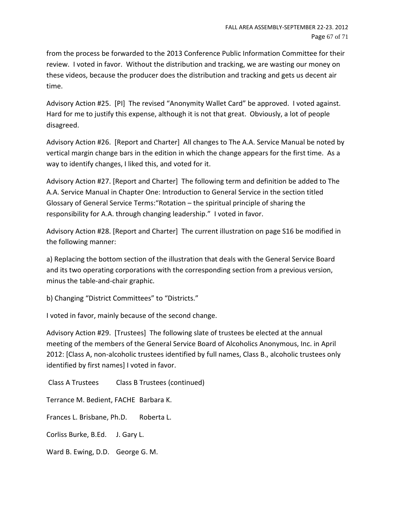from the process be forwarded to the 2013 Conference Public Information Committee for their review. I voted in favor. Without the distribution and tracking, we are wasting our money on these videos, because the producer does the distribution and tracking and gets us decent air time.

Advisory Action #25. [PI] The revised "Anonymity Wallet Card" be approved. I voted against. Hard for me to justify this expense, although it is not that great. Obviously, a lot of people disagreed.

Advisory Action #26. [Report and Charter] All changes to The A.A. Service Manual be noted by vertical margin change bars in the edition in which the change appears for the first time. As a way to identify changes, I liked this, and voted for it.

Advisory Action #27. [Report and Charter] The following term and definition be added to The A.A. Service Manual in Chapter One: Introduction to General Service in the section titled Glossary of General Service Terms:"Rotation – the spiritual principle of sharing the responsibility for A.A. through changing leadership." I voted in favor.

Advisory Action #28. [Report and Charter] The current illustration on page S16 be modified in the following manner:

a) Replacing the bottom section of the illustration that deals with the General Service Board and its two operating corporations with the corresponding section from a previous version, minus the table-and-chair graphic.

b) Changing "District Committees" to "Districts."

I voted in favor, mainly because of the second change.

Advisory Action #29. [Trustees] The following slate of trustees be elected at the annual meeting of the members of the General Service Board of Alcoholics Anonymous, Inc. in April 2012: [Class A, non-alcoholic trustees identified by full names, Class B., alcoholic trustees only identified by first names] I voted in favor.

Class A Trustees Class B Trustees (continued)

Terrance M. Bedient, FACHE Barbara K.

Frances L. Brisbane, Ph.D. Roberta L.

Corliss Burke, B.Ed. J. Gary L.

Ward B. Ewing, D.D. George G. M.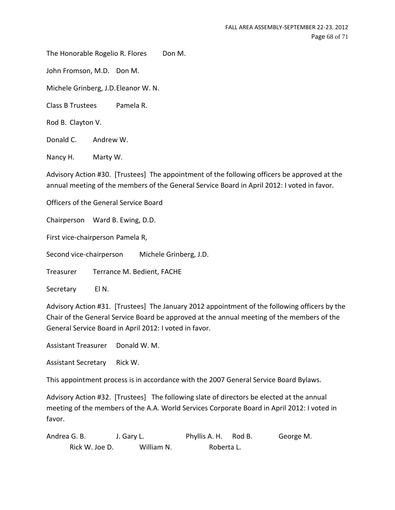The Honorable Rogelio R. Flores Don M.

John Fromson, M.D. Don M.

Michele Grinberg, J.D.Eleanor W. N.

Class B Trustees Pamela R.

Rod B. Clayton V.

Donald C. Andrew W.

Nancy H. Marty W.

Advisory Action #30. [Trustees] The appointment of the following officers be approved at the annual meeting of the members of the General Service Board in April 2012: I voted in favor.

Officers of the General Service Board

Chairperson Ward B. Ewing, D.D.

First vice-chairperson Pamela R,

Second vice-chairperson Michele Grinberg, J.D.

Treasurer Terrance M. Bedient, FACHE

Secretary El N.

Advisory Action #31. [Trustees] The January 2012 appointment of the following officers by the Chair of the General Service Board be approved at the annual meeting of the members of the General Service Board in April 2012: I voted in favor.

Assistant Treasurer Donald W. M.

Assistant Secretary Rick W.

This appointment process is in accordance with the 2007 General Service Board Bylaws.

Advisory Action #32. [Trustees] The following slate of directors be elected at the annual meeting of the members of the A.A. World Services Corporate Board in April 2012: I voted in favor.

Andrea G. B. J. Gary L. Phyllis A. H. Rod B. George M. Rick W. Joe D. William N. Roberta L.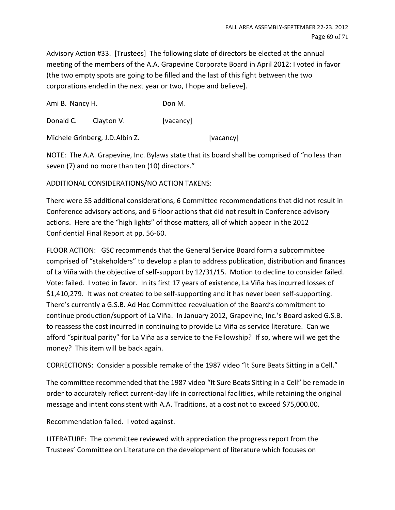Advisory Action #33. [Trustees] The following slate of directors be elected at the annual meeting of the members of the A.A. Grapevine Corporate Board in April 2012: I voted in favor (the two empty spots are going to be filled and the last of this fight between the two corporations ended in the next year or two, I hope and believe].

Ami B. Nancy H. Don M.

Donald C. Clayton V. [vacancy]

Michele Grinberg, J.D.Albin Z. [vacancy]

NOTE: The A.A. Grapevine, Inc. Bylaws state that its board shall be comprised of "no less than seven (7) and no more than ten (10) directors."

# ADDITIONAL CONSIDERATIONS/NO ACTION TAKENS:

There were 55 additional considerations, 6 Committee recommendations that did not result in Conference advisory actions, and 6 floor actions that did not result in Conference advisory actions. Here are the "high lights" of those matters, all of which appear in the 2012 Confidential Final Report at pp. 56-60.

FLOOR ACTION: GSC recommends that the General Service Board form a subcommittee comprised of "stakeholders" to develop a plan to address publication, distribution and finances of La Viña with the objective of self-support by 12/31/15. Motion to decline to consider failed. Vote: failed. I voted in favor. In its first 17 years of existence, La Viña has incurred losses of \$1,410,279. It was not created to be self-supporting and it has never been self-supporting. There's currently a G.S.B. Ad Hoc Committee reevaluation of the Board's commitment to continue production/support of La Viña. In January 2012, Grapevine, Inc.'s Board asked G.S.B. to reassess the cost incurred in continuing to provide La Viña as service literature. Can we afford "spiritual parity" for La Viña as a service to the Fellowship? If so, where will we get the money? This item will be back again.

CORRECTIONS: Consider a possible remake of the 1987 video "It Sure Beats Sitting in a Cell."

The committee recommended that the 1987 video "It Sure Beats Sitting in a Cell" be remade in order to accurately reflect current-day life in correctional facilities, while retaining the original message and intent consistent with A.A. Traditions, at a cost not to exceed \$75,000.00.

Recommendation failed. I voted against.

LITERATURE: The committee reviewed with appreciation the progress report from the Trustees' Committee on Literature on the development of literature which focuses on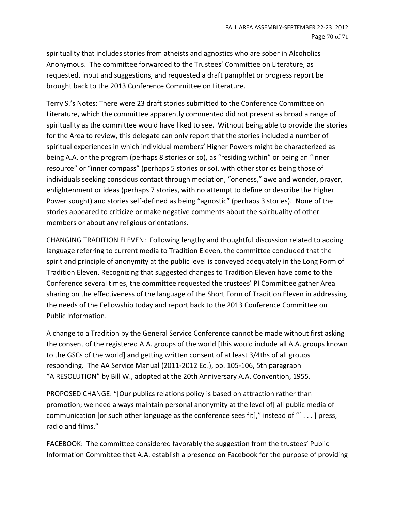spirituality that includes stories from atheists and agnostics who are sober in Alcoholics Anonymous. The committee forwarded to the Trustees' Committee on Literature, as requested, input and suggestions, and requested a draft pamphlet or progress report be brought back to the 2013 Conference Committee on Literature.

Terry S.'s Notes: There were 23 draft stories submitted to the Conference Committee on Literature, which the committee apparently commented did not present as broad a range of spirituality as the committee would have liked to see. Without being able to provide the stories for the Area to review, this delegate can only report that the stories included a number of spiritual experiences in which individual members' Higher Powers might be characterized as being A.A. or the program (perhaps 8 stories or so), as "residing within" or being an "inner resource" or "inner compass" (perhaps 5 stories or so), with other stories being those of individuals seeking conscious contact through mediation, "oneness," awe and wonder, prayer, enlightenment or ideas (perhaps 7 stories, with no attempt to define or describe the Higher Power sought) and stories self-defined as being "agnostic" (perhaps 3 stories). None of the stories appeared to criticize or make negative comments about the spirituality of other members or about any religious orientations.

CHANGING TRADITION ELEVEN: Following lengthy and thoughtful discussion related to adding language referring to current media to Tradition Eleven, the committee concluded that the spirit and principle of anonymity at the public level is conveyed adequately in the Long Form of Tradition Eleven. Recognizing that suggested changes to Tradition Eleven have come to the Conference several times, the committee requested the trustees' PI Committee gather Area sharing on the effectiveness of the language of the Short Form of Tradition Eleven in addressing the needs of the Fellowship today and report back to the 2013 Conference Committee on Public Information.

A change to a Tradition by the General Service Conference cannot be made without first asking the consent of the registered A.A. groups of the world [this would include all A.A. groups known to the GSCs of the world] and getting written consent of at least 3/4ths of all groups responding. The AA Service Manual (2011-2012 Ed.), pp. 105-106, 5th paragraph "A RESOLUTION" by Bill W., adopted at the 20th Anniversary A.A. Convention, 1955.

PROPOSED CHANGE: "[Our publics relations policy is based on attraction rather than promotion; we need always maintain personal anonymity at the level of] all public media of communication [or such other language as the conference sees fit]," instead of "[ . . . ] press, radio and films."

FACEBOOK: The committee considered favorably the suggestion from the trustees' Public Information Committee that A.A. establish a presence on Facebook for the purpose of providing